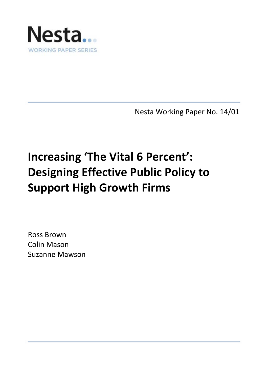

Nesta Working Paper No. 14/01

# **Increasing 'The Vital 6 Percent': Designing Effective Public Policy to Support High Growth Firms**

Ross Brown Colin Mason Suzanne Mawson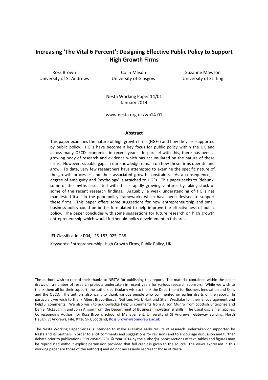# **Increasing 'The Vital 6 Percent': Designing Effective Public Policy to Support High Growth Firms**

Ross Brown University of St Andrews

Colin Mason University of Glasgow

Suzanne Mawson University of Stirling

Nesta Working Paper 14/01 January 2014

www.nesta.org.uk/wp14-01

#### **Abstract**

This paper examines the nature of high growth firms (HGFs) and how they are supported by public policy. HGFs have become a key focus for public policy within the UK and across many OECD economies in recent years. In parallel with this, there has been a growing body of research and evidence which has accumulated on the nature of these firms. However, sizeable gaps in our knowledge remain on how these firms operate and grow. To date, very few researchers have attempted to examine the specific nature of the growth processes and their associated growth constraints. As a consequence, a degree of ambiguity and 'mythology' is attached to HGFs. This paper seeks to 'debunk' some of the myths associated with these rapidly growing ventures by taking stock of some of the recent research findings. Arguably, a weak understanding of HGFs has manifested itself in the poor policy frameworks which have been devised to support these firms. This paper offers some suggestions for how entrepreneurship and small business policy could be better formulated to help improve the effectiveness of public policy. The paper concludes with some suggestions for future research on high growth entrepreneurship which would further aid policy development in this area.

JEL Classification: D04, L26, L53, 025, O38

Keywords: Entrepreneurship, High Growth Firms, Public Policy, UK

The authors wish to record their thanks to NESTA for publishing this report. The material contained within the paper draws on a number of research projects undertaken in recent years for various research sponsors. While we wish to thank them all for their support, the authors particularly wish to thank the Department for Business Innovation and Skills and the OECD. The authors also want to thank various people who commented on earlier drafts of the report. In particular, we wish to thank Albert Bravo-Biosca, Neil Lee, Mark Hart and Stian Westlake for their encouragement and helpful comments. We also wish to acknowledge helpful comments from Alison Munro from Scottish Enterprise and Daniel McLaughlin and John Allison from the Department of Business Innovation & Skills. The usual disclaimer applies. Corresponding Author: Dr Ross Brown, School of Management, University of St Andrews, Gateway Building, North Haugh, St Andrews, Fife, KY16 9RJ, Scotland; [Ross.Brown@st-andrews.ac.uk](mailto:Ross.Brown@st-andrews.ac.uk)

The Nesta Working Paper Series is intended to make available early results of research undertaken or supported by Nesta and its partners in order to elicit comments and suggestions for revisions and to encourage discussion and further debate prior to publication (ISSN 2050-9820). © Year 2014 by the author(s). Short sections of text, tables and figures may be reproduced without explicit permission provided that full credit is given to the source. The views expressed in this working paper are those of the author(s) and do not necessarily represent those of Nesta.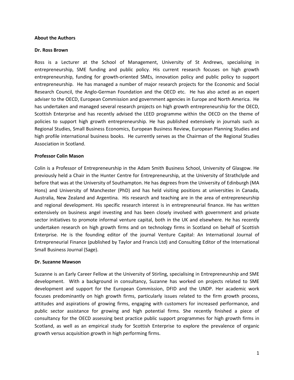## **About the Authors**

## **Dr. Ross Brown**

Ross is a Lecturer at the School of Management, University of St Andrews, specialising in entrepreneurship, SME funding and public policy. His current research focuses on high growth entrepreneurship, funding for growth-oriented SMEs, innovation policy and public policy to support entrepreneurship. He has managed a number of major research projects for the Economic and Social Research Council, the Anglo-German Foundation and the OECD etc. He has also acted as an expert adviser to the OECD, European Commission and government agencies in Europe and North America. He has undertaken and managed several research projects on high growth entrepreneurship for the OECD, Scottish Enterprise and has recently advised the LEED programme within the OECD on the theme of policies to support high growth entrepreneurship. He has published extensively in journals such as Regional Studies, Small Business Economics, European Business Review, European Planning Studies and high profile international business books. He currently serves as the Chairman of the Regional Studies Association in Scotland.

## **Professor Colin Mason**

Colin is a Professor of Entrepreneurship in the Adam Smith Business School, University of Glasgow. He previously held a Chair in the Hunter Centre for Entrepreneurship, at the University of Strathclyde and before that was at the University of Southampton. He has degrees from the University of Edinburgh (MA Hons) and University of Manchester (PhD) and has held visiting positions at universities in Canada, Australia, New Zealand and Argentina. His research and teaching are in the area of entrepreneurship and regional development. His specific research interest is in entrepreneurial finance. He has written extensively on business angel investing and has been closely involved with government and private sector initiatives to promote informal venture capital, both in the UK and elsewhere. He has recently undertaken research on high growth firms and on technology firms in Scotland on behalf of Scottish Enterprise. He is the founding editor of the journal Venture Capital: An International Journal of Entrepreneurial Finance (published by Taylor and Francis Ltd) and Consulting Editor of the International Small Business Journal (Sage).

## **Dr. Suzanne Mawson**

Suzanne is an Early Career Fellow at the University of Stirling, specialising in Entrepreneurship and SME development. With a background in consultancy, Suzanne has worked on projects related to SME development and support for the European Commission, DFID and the UNDP. Her academic work focuses predominantly on high growth firms, particularly issues related to the firm growth process, attitudes and aspirations of growing firms, engaging with customers for increased performance, and public sector assistance for growing and high potential firms. She recently finished a piece of consultancy for the OECD assessing best practice public support programmes for high growth firms in Scotland, as well as an empirical study for Scottish Enterprise to explore the prevalence of organic growth versus acquisition growth in high performing firms.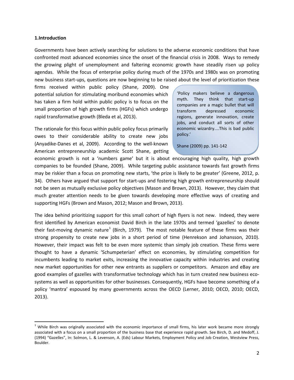## **1.Introduction**

Governments have been actively searching for solutions to the adverse economic conditions that have confronted most advanced economies since the onset of the financial crisis in 2008. Ways to remedy the growing plight of unemployment and faltering economic growth have steadily risen up policy agendas. While the focus of enterprise policy during much of the 1970s and 1980s was on promoting new business start-ups, questions are now beginning to be raised about the level of prioritization these

firms received within public policy (Shane, 2009). One potential solution for stimulating moribund economies which has taken a firm hold within public policy is to focus on the small proportion of high growth firms (HGFs) which undergo rapid transformative growth (Bleda et al, 2013).

The rationale for this focus within public policy focus primarily owes to their considerable ability to create new jobs (Anyadike-Danes et al, 2009). According to the well-known American entrepreneurship academic Scott Shane, getting

'Policy makers believe a dangerous myth. They think that start-up companies are a magic bullet that will transform depressed economic regions, generate innovation, create jobs, and conduct all sorts of other economic wizardry....This is bad public policy.'

Shane (2009) pp. 141-142

economic growth is not a 'numbers game' but it is about encouraging high quality, high growth companies to be founded (Shane, 2009). While targeting public assistance towards fast growth firms may be riskier than a focus on promoting new starts, 'the prize is likely to be greater' (Greene, 2012, p. 34). Others have argued that support for start-ups and fostering high growth entrepreneurship should not be seen as mutually exclusive policy objectives (Mason and Brown, 2013). However, they claim that much greater attention needs to be given towards developing more effective ways of creating and supporting HGFs (Brown and Mason, 2012; Mason and Brown, 2013).

The idea behind prioritizing support for this small cohort of high flyers is not new. Indeed, they were first identified by American economist David Birch in the late 1970s and termed 'gazelles' to denote their fast-moving dynamic nature<sup>[1](#page-3-0)</sup> (Birch, 1979). The most notable feature of these firms was their strong propensity to create new jobs in a short period of time (Henrekson and Johansson, 2010). However, their impact was felt to be even more systemic than simply job creation. These firms were thought to have a dynamic 'Schumpeterian' effect on economies, by stimulating competition for incumbents leading to market exits, increasing the innovative capacity within industries and creating new market opportunities for other new entrants as suppliers or competitors. Amazon and eBay are good examples of gazelles with transformative technology which has in turn created new business ecosystems as well as opportunities for other businesses. Consequently, HGFs have become something of a policy 'mantra' espoused by many governments across the OECD (Lerner, 2010; OECD, 2010; OECD, 2013).

<span id="page-3-0"></span> $1$  While Birch was originally associated with the economic importance of small firms, his later work became more strongly associated with a focus on a small proportion of the business base that experience rapid growth. See Birch, D. and Medoff, J. (1994) "Gazelles", In: Solmon, L. & Levenson, A. (Eds) Labour Markets, Employment Policy and Job Creation, Westview Press, Boulder.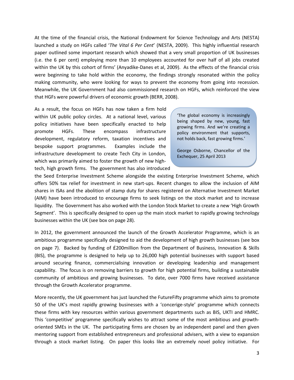At the time of the financial crisis, the National Endowment for Science Technology and Arts (NESTA) launched a study on HGFs called '*The Vital 6 Per Cent*' (NESTA, 2009). This highly influential research paper outlined some important research which showed that a very small proportion of UK businesses (i.e. the 6 per cent) employing more than 10 employees accounted for over half of all jobs created within the UK by this cohort of firms' (Anyadike-Danes et al, 2009). As the effects of the financial crisis were beginning to take hold within the economy, the findings strongly resonated within the policy making community, who were looking for ways to prevent the economy from going into recession. Meanwhile, the UK Government had also commissioned research on HGFs, which reinforced the view that HGFs were powerful drivers of economic growth (BERR, 2008).

As a result, the focus on HGFs has now taken a firm hold within UK public policy circles. At a national level, various policy initiatives have been specifically enacted to help promote HGFs. These encompass infrastructure development, regulatory reform, taxation incentives and bespoke support programmes. Examples include the infrastructure development to create Tech City in London, which was primarily aimed to foster the growth of new hightech, high growth firms. The government has also introduced

'The global economy is increasingly being shaped by new, young, fast growing firms. And we're creating a policy environment that supports, not holds back, fast growing firms.'

George Osborne, Chancellor of the Exchequer, 25 April 2013

the Seed Enterprise Investment Scheme alongside the existing Enterprise Investment Scheme, which offers 50% tax relief for investment in new start-ups. Recent changes to allow the inclusion of AIM shares in ISAs and the abolition of stamp duty for shares registered on Alternative Investment Market (AIM) have been introduced to encourage firms to seek listings on the stock market and to increase liquidity. The Government has also worked with the London Stock Market to create a new 'High Growth Segment'. This is specifically designed to open up the main stock market to rapidly growing technology businesses within the UK (see box on page 28).

In 2012, the government announced the launch of the Growth Accelerator Programme, which is an ambitious programme specifically designed to aid the development of high growth businesses (see box on page 7). Backed by funding of £200million from the Department of Business, Innovation & Skills (BIS), the programme is designed to help up to 26,000 high potential businesses with support based around securing finance, commercialising innovation or developing leadership and management capability. The focus is on removing barriers to growth for high potential firms, building a sustainable community of ambitious and growing businesses. To date, over 7000 firms have received assistance through the Growth Accelerator programme.

More recently, the UK government has just launched the FutureFifty programme which aims to promote 50 of the UK's most rapidly growing businesses with a 'concerige-style' programme which connects these firms with key resources within various government departments such as BIS, UKTI and HMRC. This 'competitive' programme specifically wishes to attract some of the most ambitious and growthoriented SMEs in the UK. The participating firms are chosen by an independent panel and then given mentoring support from established entrepreneurs and professional advisers, with a view to expansion through a stock market listing. On paper this looks like an extremely novel policy initiative. For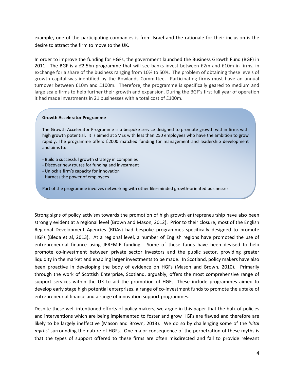example, one of the participating companies is from Israel and the rationale for their inclusion is the desire to attract the firm to move to the UK.

In order to improve the funding for HGFs, the government launched the Business Growth Fund (BGF) in 2011. The BGF is a £2.5bn programme that will see banks invest between £2m and £10m in firms, in exchange for a share of the business ranging from 10% to 50%. The problem of obtaining these levels of growth capital was identified by the Rowlands Committee. Participating firms must have an annual turnover between £10m and £100m. Therefore, the programme is specifically geared to medium and large scale firms to help further their growth and expansion. During the BGF's first full year of operation it had made investments in 21 businesses with a total cost of £100m.

## **Growth Accelerator Programme**

The Growth Accelerator Programme is a bespoke service designed to promote growth within firms with high growth potential. It is aimed at SMEs with less than 250 employees who have the ambition to grow rapidly. The programme offers £2000 matched funding for management and leadership development and aims to:

- Build a successful growth strategy in companies
- Discover new routes for funding and investment
- Unlock a firm's capacity for innovation
- Harness the power of employees

J

Part of the programme involves networking with other like-minded growth-oriented businesses.

Strong signs of policy activism towards the promotion of high growth entrepreneurship have also been strongly evident at a regional level (Brown and Mason, 2012). Prior to their closure, most of the English Regional Development Agencies (RDAs) had bespoke programmes specifically designed to promote HGFs (Bleda et al, 2013). At a regional level, a number of English regions have promoted the use of entrepreneurial finance using JEREMIE funding. Some of these funds have been devised to help promote co-investment between private sector investors and the public sector, providing greater liquidity in the market and enabling larger investments to be made. In Scotland, policy makers have also been proactive in developing the body of evidence on HGFs (Mason and Brown, 2010). Primarily through the work of Scottish Enterprise, Scotland, arguably, offers the most comprehensive range of support services within the UK to aid the promotion of HGFs. These include programmes aimed to develop early stage high potential enterprises, a range of co-investment funds to promote the uptake of entrepreneurial finance and a range of innovation support programmes.

Despite these well-intentioned efforts of policy makers, we argue in this paper that the bulk of policies and interventions which are being implemented to foster and grow HGFs are flawed and therefore are likely to be largely ineffective (Mason and Brown, 2013). We do so by challenging some of the '*vital myths*' surrounding the nature of HGFs. One major consequence of the perpetration of these myths is that the types of support offered to these firms are often misdirected and fail to provide relevant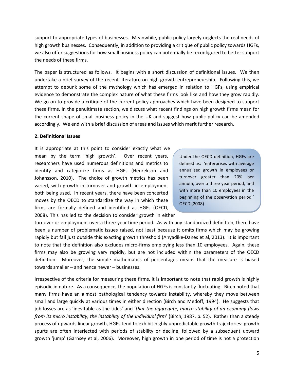support to appropriate types of businesses. Meanwhile, public policy largely neglects the real needs of high growth businesses. Consequently, in addition to providing a critique of public policy towards HGFs, we also offer suggestions for how small business policy can potentially be reconfigured to better support the needs of these firms.

The paper is structured as follows. It begins with a short discussion of definitional issues. We then undertake a brief survey of the recent literature on high growth entrepreneurship. Following this, we attempt to debunk some of the mythology which has emerged in relation to HGFs, using empirical evidence to demonstrate the complex nature of what these firms look like and how they grow rapidly. We go on to provide a critique of the current policy approaches which have been designed to support these firms. In the penultimate section, we discuss what recent findings on high growth firms mean for the current shape of small business policy in the UK and suggest how public policy can be amended accordingly. We end with a brief discussion of areas and issues which merit further research.

## **2. Definitional Issues**

It is appropriate at this point to consider exactly what we mean by the term 'high growth'. Over recent years, researchers have used numerous definitions and metrics to identify and categorize firms as HGFs (Henrekson and Johansson, 2010). The choice of growth metrics has been varied, with growth in turnover and growth in employment both being used. In recent years, there have been concerted moves by the OECD to standardize the way in which these firms are formally defined and identified as HGFs (OECD, 2008). This has led to the decision to consider growth in either

Under the OECD definition, HGFs are defined as: 'enterprises with average annualised growth in employees or turnover greater than 20% per annum, over a three year period, and with more than 10 employees in the beginning of the observation period*.*' OECD (2008)

turnover or employment over a three-year time period. As with any standardized definition, there have been a number of problematic issues raised, not least because it omits firms which may be growing rapidly but fall just outside this exacting growth threshold (Anyadike-Danes et al, 2013). It is important to note that the definition also excludes micro-firms employing less than 10 employees. Again, these firms may also be growing very rapidly, but are not included within the parameters of the OECD definition. Moreover, the simple mathematics of percentages means that the measure is biased towards smaller – and hence newer – businesses.

Irrespective of the criteria for measuring these firms, it is important to note that rapid growth is highly episodic in nature. As a consequence, the population of HGFs is constantly fluctuating. Birch noted that many firms have an almost pathological tendency towards instability, whereby they move between small and large quickly at various times in either direction (Birch and Medoff, 1994). He suggests that job losses are as 'inevitable as the tides' and '*that the aggregate, macro stability of an economy flows from its micro instability, the instability of the individual firm*' (Birch, 1987, p. 52). Rather than a steady process of upwards linear growth, HGFs tend to exhibit highly unpredictable growth trajectories: growth spurts are often interjected with periods of stability or decline, followed by a subsequent upward growth 'jump' (Garnsey et al, 2006). Moreover, high growth in one period of time is not a protection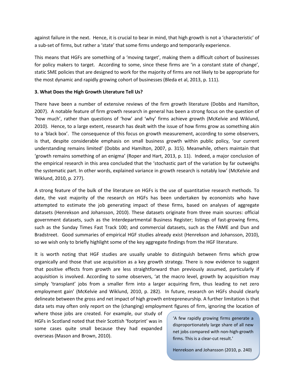against failure in the next. Hence, it is crucial to bear in mind, that high growth is not a 'characteristic' of a sub-set of firms, but rather a 'state' that some firms undergo and temporarily experience.

This means that HGFs are something of a 'moving target', making them a difficult cohort of businesses for policy makers to target. According to some, since these firms are 'in a constant state of change', static SME policies that are designed to work for the majority of firms are not likely to be appropriate for the most dynamic and rapidly growing cohort of businesses (Bleda et al, 2013, p. 111).

# **3. What Does the High Growth Literature Tell Us?**

There have been a number of extensive reviews of the firm growth literature (Dobbs and Hamilton, 2007). A notable feature of firm growth research in general has been a strong focus on the question of 'how much', rather than questions of 'how' and 'why' firms achieve growth (McKelvie and Wiklund, 2010). Hence, to a large extent, research has dealt with the issue of how firms grow as something akin to a 'black box'. The consequence of this focus on growth measurement, according to some observers, is that, despite considerable emphasis on small business growth within public policy, 'our current understanding remains limited' (Dobbs and Hamilton, 2007, p. 315). Meanwhile, others maintain that 'growth remains something of an enigma' (Roper and Hart, 2013, p. 11). Indeed, a major conclusion of the empirical research in this area concluded that the 'stochastic part of the variation by far outweighs the systematic part. In other words, explained variance in growth research is notably low' (McKelvie and Wiklund, 2010, p. 277).

A strong feature of the bulk of the literature on HGFs is the use of quantitative research methods. To date, the vast majority of the research on HGFs has been undertaken by economists who have attempted to estimate the job generating impact of these firms, based on analyses of aggregate datasets (Henrekson and Johansson, 2010). These datasets originate from three main sources: official government datasets, such as the Interdepartmental Business Register; listings of fast-growing firms, such as the Sunday Times Fast Track 100; and commercial datasets, such as the FAME and Dun and Bradstreet. Good summaries of empirical HGF studies already exist (Henrekson and Johansson, 2010), so we wish only to briefly highlight some of the key aggregate findings from the HGF literature.

It is worth noting that HGF studies are usually unable to distinguish between firms which grow organically and those that use acquisition as a key growth strategy. There is now evidence to suggest that positive effects from growth are less straightforward than previously assumed, particularly if acquisition is involved. According to some observers, 'at the macro level, growth by acquisition may simply 'transplant' jobs from a smaller firm into a larger acquiring firm, thus leading to net zero employment gain' (McKelvie and Wiklund, 2010, p. 282). In future, research on HGFs should clearly delineate between the gross and net impact of high growth entrepreneurship. A further limitation is that data sets may often only report on the (changing) employment figures of firm, ignoring the location of

where those jobs are created. For example, our study of HGFs in Scotland noted that their Scottish 'footprint' was in some cases quite small because they had expanded overseas (Mason and Brown, 2010).

'A few rapidly growing firms generate a disproportionately large share of all new net jobs compared with non-high-growth firms. This is a clear-cut result.'

Henrekson and Johansson (2010, p. 240)

6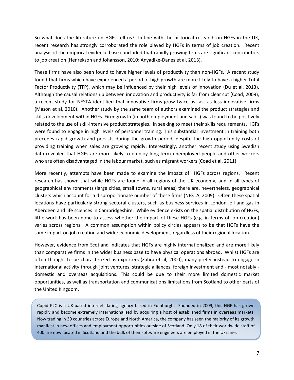So what does the literature on HGFs tell us? In line with the historical research on HGFs in the UK, recent research has strongly corroborated the role played by HGFs in terms of job creation. Recent analysis of the empirical evidence base concluded that rapidly growing firms are significant contributors to job creation (Henrekson and Johansson, 2010; Anyadike-Danes et al, 2013).

These firms have also been found to have higher levels of productivity than non-HGFs. A recent study found that firms which have experienced a period of high growth are more likely to have a higher Total Factor Productivity (TFP), which may be influenced by their high levels of innovation (Du et al, 2013). Although the causal relationship between innovation and productivity is far from clear cut (Coad, 2009), a recent study for NESTA identified that innovative firms grow twice as fast as less innovative firms (Mason et al, 2010). Another study by the same team of authors examined the product strategies and skills development within HGFs. Firm growth (in both employment and sales) was found to be positively related to the use of skill-intensive product strategies. In seeking to meet their skills requirements, HGFs were found to engage in high levels of personnel training. This substantial investment in training both precedes rapid growth and persists during the growth period, despite the high opportunity costs of providing training when sales are growing rapidly. Interestingly, another recent study using Swedish data revealed that HGFs are more likely to employ long-term unemployed people and other workers who are often disadvantaged in the labour market, such as migrant workers (Coad et al, 2011).

More recently, attempts have been made to examine the impact of HGFs across regions. Recent research has shown that while HGFs are found in all regions of the UK economy, and in all types of geographical environments (large cities, small towns, rural areas) there are, nevertheless, geographical clusters which account for a disproportionate number of these firms (NESTA, 2009). Often these spatial locations have particularly strong sectoral clusters, such as business services in London, oil and gas in Aberdeen and life sciences in Cambridgeshire. While evidence exists on the spatial distribution of HGFs, little work has been done to assess whether the impact of these HGFs (e.g. in terms of job creation) varies across regions. A common assumption within policy circles appears to be that HGFs have the same impact on job creation and wider economic development, regardless of their regional location.

However, evidence from Scotland indicates that HGFs are highly internationalized and are more likely than comparative firms in the wider business base to have physical operations abroad. Whilst HGFs are often thought to be characterized as exporters (Zahra et al, 2000), many prefer instead to engage in international activity through joint ventures, strategic alliances, foreign investment and - most notably domestic and overseas acquisitions. This could be due to their more limited domestic market opportunities, as well as transportation and communications limitations from Scotland to other parts of the United Kingdom.

Cupid PLC is a UK-based internet dating agency based in Edinburgh. Founded in 2009, this HGF has grown rapidly and become extremely internationalised by acquiring a host of established firms in overseas markets. Now trading in 39 countries across Europe and North America, the company has seen the majority of its growth manifest in new offices and employment opportunities outside of Scotland. Only 18 of their worldwide staff of 400 are now located in Scotland and the bulk of their software engineers are employed in the Ukraine.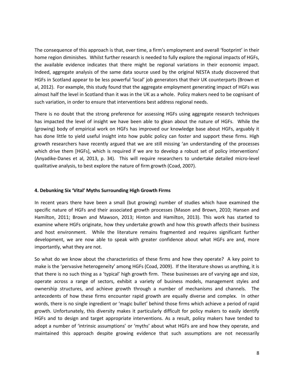The consequence of this approach is that, over time, a firm's employment and overall 'footprint' in their home region diminishes. Whilst further research is needed to fully explore the regional impacts of HGFs, the available evidence indicates that there might be regional variations in their economic impact. Indeed, aggregate analysis of the same data source used by the original NESTA study discovered that HGFs in Scotland appear to be less powerful 'local' job generators that their UK counterparts (Brown et al, 2012). For example, this study found that the aggregate employment generating impact of HGFs was almost half the level in Scotland than it was in the UK as a whole. Policy makers need to be cognisant of such variation, in order to ensure that interventions best address regional needs.

There is no doubt that the strong preference for assessing HGFs using aggregate research techniques has impacted the level of insight we have been able to glean about the nature of HGFs. While the (growing) body of empirical work on HGFs has improved our knowledge base about HGFs, arguably it has done little to yield useful insight into how public policy can foster and support these firms. High growth researchers have recently argued that we are still missing 'an understanding of the processes which drive them [HGFs], which is required if we are to develop a robust set of policy interventions' (Anyadike-Danes et al, 2013, p. 34). This will require researchers to undertake detailed micro-level qualitative analysis, to best explore the nature of firm growth (Coad, 2007).

## **4. Debunking Six 'Vital' Myths Surrounding High Growth Firms**

In recent years there have been a small (but growing) number of studies which have examined the specific nature of HGFs and their associated growth processes (Mason and Brown, 2010; Hansen and Hamilton, 2011; Brown and Mawson, 2013; Hinton and Hamilton, 2013). This work has started to examine where HGFs originate, how they undertake growth and how this growth affects their business and host environment. While the literature remains fragmented and requires significant further development, we are now able to speak with greater confidence about what HGFs are and, more importantly, what they are not.

So what do we know about the characteristics of these firms and how they operate? A key point to make is the 'pervasive heterogeneity' among HGFs (Coad, 2009). If the literature shows us anything, it is that there is no such thing as a 'typical' high growth firm. These businesses are of varying age and size, operate across a range of sectors, exhibit a variety of business models, management styles and ownership structures, and achieve growth through a number of mechanisms and channels. The antecedents of how these firms encounter rapid growth are equally diverse and complex. In other words, there is no single ingredient or 'magic bullet' behind those firms which achieve a period of rapid growth. Unfortunately, this diversity makes it particularly difficult for policy makers to easily identify HGFs and to design and target appropriate interventions. As a result, policy makers have tended to adopt a number of 'intrinsic assumptions' or 'myths' about what HGFs are and how they operate, and maintained this approach despite growing evidence that such assumptions are not necessarily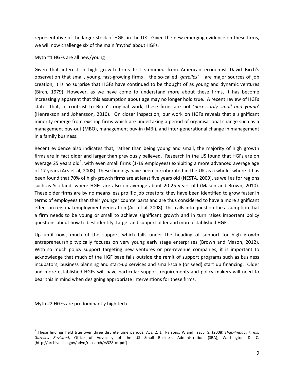representative of the larger stock of HGFs in the UK. Given the new emerging evidence on these firms, we will now challenge six of the main 'myths' about HGFs.

## Myth #1 HGFs are all new/young

Given that interest in high growth firms first stemmed from American economist David Birch's observation that small, young, fast-growing firms – the so-called *'gazelles'* – are major sources of job creation, it is no surprise that HGFs have continued to be thought of as young and dynamic ventures (Birch, 1979). However, as we have come to understand more about these firms, it has become increasingly apparent that this assumption about age may no longer hold true. A recent review of HGFs states that, in contrast to Birch's original work, these firms are not '*necessarily small and young*' (Henrekson and Johansson, 2010). On closer inspection, our work on HGFs reveals that a significant minority emerge from existing firms which are undertaking a period of organisational change such as a management buy-out (MBO), management buy-in (MBI), and inter-generational change in management in a family business.

Recent evidence also indicates that, rather than being young and small, the majority of high growth firms are in fact older and larger than previously believed. Research in the US found that HGFs are on average [2](#page-10-0)5 years old<sup>2</sup>, with even small firms (1-19 employees) exhibiting a more advanced average age of 17 years (Acs et al, 2008). These findings have been corroborated in the UK as a whole, where it has been found that 70% of high-growth firms are at least five years old (NESTA, 2009), as well as for regions such as Scotland, where HGFs are also on average about 20-25 years old (Mason and Brown, 2010). These older firms are by no means less prolific job creators: they have been identified to grow faster in terms of employees than their younger counterparts and are thus considered to have a more significant effect on regional employment generation (Acs et al, 2008). This calls into question the assumption that a firm needs to be young or small to achieve significant growth and in turn raises important policy questions about how to best identify, target and support older and more established HGFs.

Up until now, much of the support which falls under the heading of support for high growth entrepreneurship typically focuses on very young early stage enterprises (Brown and Mason, 2012). With so much policy support targeting new ventures or pre-revenue companies, it is important to acknowledge that much of the HGF base falls outside the remit of support programs such as business incubators, business planning and start-up services and small-scale (or seed) start up financing. Older and more established HGFs will have particular support requirements and policy makers will need to bear this in mind when designing appropriate interventions for these firms.

Myth #2 HGFs are predominantly high tech

<span id="page-10-0"></span> <sup>2</sup> These findings held true over three discrete time periods. Acs, Z. J., Parsons, W.and Tracy, S. (2008) *High-Impact Firms: Gazelles Revisited*, Office of Advocacy of the US Small Business Administration (SBA), Washington D. C. [http://archive.sba.gov/advo/research/rs328tot.pdf]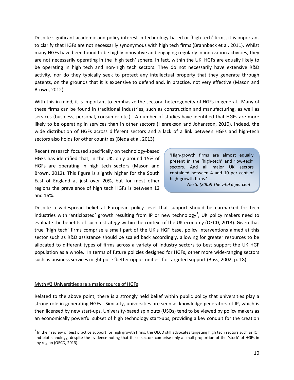Despite significant academic and policy interest in technology-based or 'high tech' firms, it is important to clarify that HGFs are not necessarily synonymous with high tech firms (Brannback et al, 2011). Whilst many HGFs have been found to be highly innovative and engaging regularly in innovation activities, they are not necessarily operating in the 'high tech' sphere. In fact, within the UK, HGFs are equally likely to be operating in high tech and non-high tech sectors. They do not necessarily have extensive R&D activity, nor do they typically seek to protect any intellectual property that they generate through patents, on the grounds that it is expensive to defend and, in practice, not very effective (Mason and Brown, 2012).

With this in mind, it is important to emphasize the sectoral heterogeneity of HGFs in general. Many of these firms can be found in traditional industries, such as construction and manufacturing, as well as services (business, personal, consumer etc.). A number of studies have identified that HGFs are more likely to be operating in services than in other sectors (Henrekson and Johansson, 2010). Indeed, the wide distribution of HGFs across different sectors and a lack of a link between HGFs and high-tech sectors also holds for other countries (Bleda et al, 2013).

Recent research focused specifically on technology-based HGFs has identified that, in the UK, only around 15% of HGFs are operating in high tech sectors (Mason and Brown, 2012). This figure is slightly higher for the South East of England at just over 20%, but for most other regions the prevalence of high tech HGFs is between 12 and 16%.

'High-growth firms are almost equally present in the 'high-tech' and 'low-tech' sectors. And all major UK sectors contained between 4 and 10 per cent of high-growth firms.'

*Nesta (2009) The vital 6 per cent*

Despite a widespread belief at European policy level that support should be earmarked for tech industries with 'anticipated' growth resulting from IP or new technology<sup>[3](#page-11-0)</sup>, UK policy makers need to evaluate the benefits of such a strategy within the context of the UK economy (OECD, 2013). Given that true 'high tech' firms comprise a small part of the UK's HGF base, policy interventions aimed at this sector such as R&D assistance should be scaled back accordingly, allowing for greater resources to be allocated to different types of firms across a variety of industry sectors to best support the UK HGF population as a whole. In terms of future policies designed for HGFs, other more wide-ranging sectors such as business services might pose 'better opportunities' for targeted support (Buss, 2002, p. 18).

## Myth #3 Universities are a major source of HGFs

Related to the above point, there is a strongly held belief within public policy that universities play a strong role in generating HGFs. Similarly, universities are seen as knowledge generators of IP, which is then licensed by new start-ups. University-based spin outs (USOs) tend to be viewed by policy makers as an economically powerful subset of high technology start-ups, providing a key conduit for the creation

<span id="page-11-0"></span> $3$  In their review of best practice support for high growth firms, the OECD still advocates targeting high tech sectors such as ICT and biotechnology, despite the evidence noting that these sectors comprise only a small proportion of the 'stock' of HGFs in any region (OECD, 2013).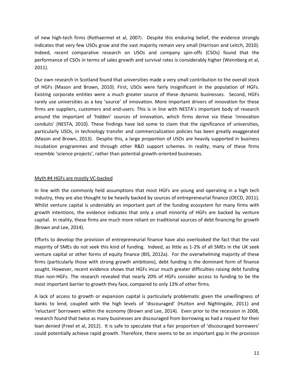of new high-tech firms (Rothaermel et al, 2007). Despite this enduring belief, the evidence strongly indicates that very few USOs grow and the vast majority remain very small (Harrison and Leitch, 2010). Indeed, recent comparative research on USOs and company spin-offs (CSOs) found that the performance of CSOs in terms of sales growth and survival rates is considerably higher (Wennberg et al, 2011).

Our own research in Scotland found that universities made a very small contribution to the overall stock of HGFs (Mason and Brown, 2010). First, USOs were fairly insignificant in the population of HGFs. Existing corporate entities were a much greater source of these dynamic businesses. Second, HGFs rarely use universities as a key 'source' of innovation. More important drivers of innovation for these firms are suppliers, customers and end-users. This is in line with NESTA's important body of research around the important of 'hidden' sources of innovation, which firms derive via these 'innovation conduits' (NESTA, 2010). These findings have led some to claim that the significance of universities, particularly USOs, in technology transfer and commercialization policies has been greatly exaggerated (Mason and Brown, 2013). Despite this, a large proportion of USOs are heavily supported in business incubation programmes and through other R&D support schemes. In reality, many of these firms resemble 'science projects', rather than potential growth-oriented businesses.

# Myth #4 HGFs are mostly VC-backed

In line with the commonly held assumptions that most HGFs are young and operating in a high tech industry, they are also thought to be heavily backed by sources of entrepreneurial finance (OECD, 2011). Whilst venture capital is undeniably an important part of the funding ecosystem for many firms with growth intentions, the evidence indicates that only a small minority of HGFs are backed by venture capital. In reality, these firms are much more reliant on traditional sources of debt financing for growth (Brown and Lee, 2014).

Efforts to develop the provision of entrepreneurial finance have also overlooked the fact that the vast majority of SMEs do not seek this kind of funding. Indeed, as little as 1-2% of all SMEs in the UK seek venture capital or other forms of equity finance (BIS, 2012a). For the overwhelming majority of these firms (particularly those with strong growth ambitions), debt funding is the dominant form of finance sought. However, recent evidence shows that HGFs incur much greater difficulties raising debt funding than non-HGFs. The research revealed that nearly 20% of HGFs consider access to funding to be the most important barrier to growth they face, compared to only 13% of other firms.

A lack of access to growth or expansion capital is particularly problematic given the unwillingness of banks to lend, coupled with the high levels of 'discouraged' (Hutton and Nightingale, 2011) and 'reluctant' borrowers within the economy (Brown and Lee, 2014). Even prior to the recession in 2008, research found that twice as many businesses are discouraged from borrowing as had a request for their loan denied (Freel et al, 2012). It is safe to speculate that a fair proportion of 'discouraged borrowers' could potentially achieve rapid growth. Therefore, there seems to be an important gap in the provision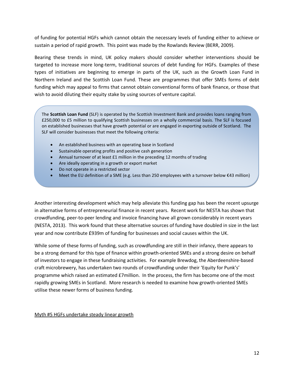of funding for potential HGFs which cannot obtain the necessary levels of funding either to achieve or sustain a period of rapid growth. This point was made by the Rowlands Review (BERR, 2009).

Bearing these trends in mind, UK policy makers should consider whether interventions should be targeted to increase more long-term, traditional sources of debt funding for HGFs. Examples of these types of initiatives are beginning to emerge in parts of the UK, such as the Growth Loan Fund in Northern Ireland and the Scottish Loan Fund. These are programmes that offer SMEs forms of debt funding which may appeal to firms that cannot obtain conventional forms of bank finance, or those that wish to avoid diluting their equity stake by using sources of venture capital.

The **Scottish Loan Fund** (SLF) is operated by the Scottish Investment Bank and provides loans ranging from £250,000 to £5 million to qualifying Scottish businesses on a wholly commercial basis. The SLF is focused on established businesses that have growth potential or are engaged in exporting outside of Scotland. The SLF will consider businesses that meet the following criteria:

- An established business with an operating base in Scotland
- Sustainable operating profits and positive cash generation
- Annual turnover of at least £1 million in the preceding 12 months of trading
- Are ideally operating in a growth or export market
- Do not operate in a restricted sector
- Meet the EU definition of a SME (e.g. Less than 250 employees with a turnover below €43 million)

Another interesting development which may help alleviate this funding gap has been the recent upsurge in alternative forms of entrepreneurial finance in recent years. Recent work for NESTA has shown that crowdfunding, peer-to-peer lending and invoice financing have all grown considerably in recent years (NESTA, 2013). This work found that these alternative sources of funding have doubled in size in the last year and now contribute £939m of funding for businesses and social causes within the UK.

While some of these forms of funding, such as crowdfunding are still in their infancy, there appears to be a strong demand for this type of finance within growth-oriented SMEs and a strong desire on behalf of investors to engage in these fundraising activities. For example Brewdog, the Aberdeenshire-based craft microbrewery, has undertaken two rounds of crowdfunding under their 'Equity for Punk's' programme which raised an estimated £7million. In the process, the firm has become one of the most rapidly growing SMEs in Scotland. More research is needed to examine how growth-oriented SMEs utilise these newer forms of business funding.

Myth #5 HGFs undertake steady linear growth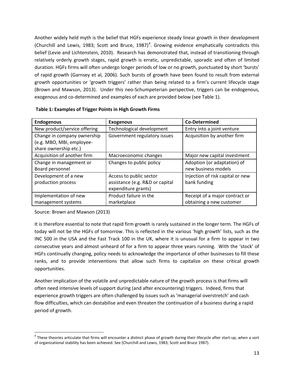Another widely held myth is the belief that HGFs experience steady linear growth in their development (Churchill and Lewis, 1983; Scott and Bruce, 1987)<sup>[4](#page-14-0)</sup>. Growing evidence emphatically contradicts this belief (Levie and Lichtenstein, 2010). Research has demonstrated that, instead of transitioning through relatively orderly growth stages, rapid growth is erratic, unpredictable, sporadic and often of limited duration. HGFs firms will often undergo longer periods of low or no growth, punctuated by short 'bursts' of rapid growth (Garnsey et al, 2006). Such bursts of growth have been found to result from external growth opportunities or 'growth triggers' rather than being related to a firm's current lifecycle stage (Brown and Mawson, 2013). Under this neo-Schumpeterian perspective, triggers can be endogenous, exogenous and co-determined and examples of each are provided below (see Table 1).

| <b>Endogenous</b>            | <b>Exogenous</b>                | <b>Co-Determined</b>             |
|------------------------------|---------------------------------|----------------------------------|
| New product/service offering | Technological development       | Entry into a joint venture       |
| Change in company ownership  | Government regulatory issues    | Acquisition by another firm      |
| (e.g. MBO, MBI, employee-    |                                 |                                  |
| share ownership etc.)        |                                 |                                  |
| Acquisition of another firm  | Macroeconomic changes           | Major new capital investment     |
| Change in management or      | Changes to public policy        | Adoption (or adaptation) of      |
| Board personnel              |                                 | new business models              |
| Development of a new         | Access to public sector         | Injection of risk capital or new |
| production process           | assistance (e.g. R&D or capital | bank funding                     |
|                              | expenditure grants)             |                                  |
| Implementation of new        | Product failure in the          | Receipt of a major contract or   |
| management systems           | marketplace                     | obtaining a new customer         |

Source: Brown and Mawson (2013)

It is therefore essential to note that rapid firm growth is rarely sustained in the longer term. The HGFs of today will not be the HGFs of tomorrow. This is reflected in the various 'high growth' lists, such as the INC 500 in the USA and the Fast Track 100 in the UK, where it is unusual for a firm to appear in two consecutive years and almost unheard of for a firm to appear three years running. With the 'stock' of HGFs continually changing, policy needs to acknowledge the importance of other businesses to fill these ranks, and to provide interventions that allow such firms to capitalize on these critical growth opportunities.

Another implication of the volatile and unpredictable nature of the growth process is that firms will often need intensive levels of support during (and after encountering) triggers. Indeed, firms that experience growth triggers are often challenged by issues such as 'managerial overstretch' and cash flow difficulties, which can destabilise and even threaten the continuation of a business during a rapid period of growth.

<span id="page-14-0"></span><sup>&</sup>lt;sup>4</sup> These theories articulate that firms will encounter a distinct phase of growth during their lifecycle after start-up, when a sort of organizational stability has been achieved. See (Churchill and Lewis, 1983; Scott and Bruce 1987).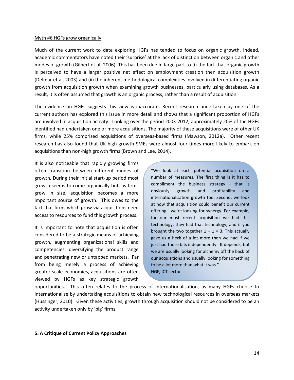#### Myth #6 HGFs grow organically

Much of the current work to date exploring HGFs has tended to focus on organic growth. Indeed, academic commentators have noted their 'surprise' at the lack of distinction between organic and other modes of growth (Gilbert et al, 2006). This has been due in large part to (i) the fact that organic growth is perceived to have a larger positive net effect on employment creation then acquisition growth (Delmar et al, 2003) and (ii) the inherent methodological complexities involved in differentiating organic growth from acquisition growth when examining growth businesses, particularly using databases. As a result, it is often assumed that growth is an organic process, rather than a result of acquisition.

The evidence on HGFs suggests this view is inaccurate. Recent research undertaken by one of the current authors has explored this issue in more detail and shows that a significant proportion of HGFs are involved in acquisition activity. Looking over the period 2003-2012, approximately 20% of the HGFs identified had undertaken one or more acquisitions. The majority of these acquisitions were of other UK firms, while 25% comprised acquisitions of overseas-based firms (Mawson, 2012a). Other recent research has also found that UK high growth SMEs were almost four times more likely to embark on acquisitions than non-high growth firms (Brown and Lee, 2014).

It is also noticeable that rapidly growing firms often transition between different modes of growth. During their initial start-up period most growth seems to come organically but, as firms grow in size, acquisition becomes a more important source of growth. This owes to the fact that firms which grow via acquisitions need access to resources to fund this growth process.

It is important to note that acquisition is often considered to be a strategic means of achieving growth, augmenting organizational skills and competencies, diversifying the product range and penetrating new or untapped markets. Far from being merely a process of achieving greater scale economies, acquisitions are often viewed by HGFs as key strategic growth

"We look at each potential acquisition on a number of measures. The first thing is it has to compliment the business strategy - that is obviously growth and profitability and internationalisation growth too. Second, we look at how that acquisition could benefit our current offering - we're looking for synergy. For example, for our most recent acquisition we had this technology, they had that technology, and if you brought the two together  $1 + 1 = 3$ . This actually gave us a heck of a lot more than we had if we just had those bits independently. It depends, but we are usually looking for alchemy off the back of our acquisitions and usually looking for something to be a lot more than what it was." HGF, ICT sector

opportunities. This often relates to the process of internationalisation, as many HGFs choose to internationalise by undertaking acquisitions to obtain new technological resources in overseas markets (Hussinger, 2010). Given these activities, growth through acquisition should not be considered to be an activity undertaken only by 'big' firms.

## **5. A Critique of Current Policy Approaches**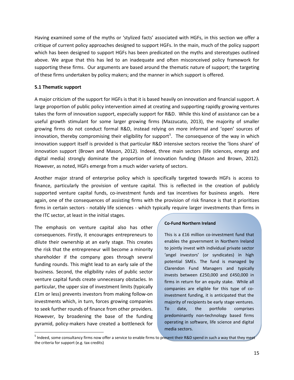Having examined some of the myths or 'stylized facts' associated with HGFs, in this section we offer a critique of current policy approaches designed to support HGFs. In the main, much of the policy support which has been designed to support HGFs has been predicated on the myths and stereotypes outlined above. We argue that this has led to an inadequate and often misconceived policy framework for supporting these firms. Our arguments are based around the thematic nature of support; the targeting of these firms undertaken by policy makers; and the manner in which support is offered.

## **5.1 Thematic support**

A major criticism of the support for HGFs is that it is based heavily on innovation and financial support. A large proportion of public policy intervention aimed at creating and supporting rapidly growing ventures takes the form of innovation support, especially support for R&D. While this kind of assistance can be a useful growth stimulant for some larger growing firms (Mazzucato, 2013), the majority of smaller growing firms do not conduct formal R&D, instead relying on more informal and 'open' sources of innovation, thereby compromising their eligibility for support<sup>[5](#page-16-0)</sup>. The consequence of the way in which innovation support itself is provided is that particular R&D intensive sectors receive the 'lions share' of innovation support (Brown and Mason, 2012). Indeed, three main sectors (life sciences, energy and digital media) strongly dominate the proportion of innovation funding (Mason and Brown, 2012). However, as noted, HGFs emerge from a much wider variety of sectors.

Another major strand of enterprise policy which is specifically targeted towards HGFs is access to finance, particularly the provision of venture capital. This is reflected in the creation of publicly supported venture capital funds, co-investment funds and tax incentives for business angels. Here again, one of the consequences of assisting firms with the provision of risk finance is that it prioritizes firms in certain sectors - notably life sciences - which typically require larger investments than firms in the ITC sector, at least in the initial stages.

The emphasis on venture capital also has other consequences. Firstly, it encourages entrepreneurs to dilute their ownership at an early stage. This creates the risk that the entrepreneur will become a minority shareholder if the company goes through several funding rounds. This might lead to an early sale of the business. Second, the eligibility rules of public sector venture capital funds create unnecessary obstacles. In particular, the upper size of investment limits (typically £1m or less) prevents investors from making follow-on investments which, in turn, forces growing companies to seek further rounds of finance from other providers. However, by broadening the base of the funding pyramid, policy-makers have created a bottleneck for

## **Co-Fund Northern Ireland**

This is a £16 million co-investment fund that enables the government in Northern Ireland to jointly invest with individual private sector 'angel investors' (or syndicates) in high potential SMEs. The fund is managed by Clarendon Fund Managers and typically invests between £250,000 and £450,000 in firms in return for an equity stake. While all companies are eligible for this type of coinvestment funding, it is anticipated that the majority of recipients be early stage ventures. To date, the portfolio comprises predominantly non-technology based firms operating in software, life science and digital media sectors.

<span id="page-16-0"></span><sup>&</sup>lt;sup>5</sup> Indeed, some consultancy firms now offer a service to enable firms to present their R&D spend in such a way that they meet the criteria for support (e.g. tax credits)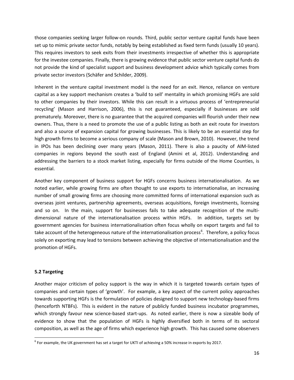those companies seeking larger follow-on rounds. Third, public sector venture capital funds have been set up to mimic private sector funds, notably by being established as fixed term funds (usually 10 years). This requires investors to seek exits from their investments irrespective of whether this is appropriate for the investee companies. Finally, there is growing evidence that public sector venture capital funds do not provide the kind of specialist support and business development advice which typically comes from private sector investors (Schäfer and Schilder, 2009).

Inherent in the venture capital investment model is the need for an exit. Hence, reliance on venture capital as a key support mechanism creates a 'build to sell' mentality in which promising HGFs are sold to other companies by their investors. While this can result in a virtuous process of 'entrepreneurial recycling' (Mason and Harrison, 2006), this is not guaranteed, especially if businesses are sold prematurely. Moreover, there is no guarantee that the acquired companies will flourish under their new owners. Thus, there is a need to promote the use of a public listing as both an exit route for investors and also a source of expansion capital for growing businesses. This is likely to be an essential step for high growth firms to become a serious company of scale (Mason and Brown, 2010). However, the trend in IPOs has been declining over many years (Mason, 2011). There is also a paucity of AIM-listed companies in regions beyond the south east of England (Amini et al, 2012). Understanding and addressing the barriers to a stock market listing, especially for firms outside of the Home Counties, is essential.

Another key component of business support for HGFs concerns business internationalisation. As we noted earlier, while growing firms are often thought to use exports to internationalise, an increasing number of small growing firms are choosing more committed forms of international expansion such as overseas joint ventures, partnership agreements, overseas acquisitions, foreign investments, licensing and so on. In the main, support for businesses fails to take adequate recognition of the multidimensional nature of the internationalisation process within HGFs. In addition, targets set by government agencies for business internationalisation often focus wholly on export targets and fail to take account of the heterogeneous nature of the internationalisation process<sup>[6](#page-17-0)</sup>. Therefore, a policy focus solely on exporting may lead to tensions between achieving the objective of internationalisation and the promotion of HGFs.

# **5.2 Targeting**

Another major criticism of policy support is the way in which it is targeted towards certain types of companies and certain types of 'growth'. For example, a key aspect of the current policy approaches towards supporting HGFs is the formulation of policies designed to support new technology-based firms (henceforth NTBFs). This is evident in the nature of publicly funded business incubator programmes, which strongly favour new science-based start-ups. As noted earlier, there is now a sizeable body of evidence to show that the population of HGFs is highly diversified both in terms of its sectoral composition, as well as the age of firms which experience high growth. This has caused some observers

<span id="page-17-0"></span> $<sup>6</sup>$  For example, the UK government has set a target for UKTI of achieving a 50% increase in exports by 2017.</sup>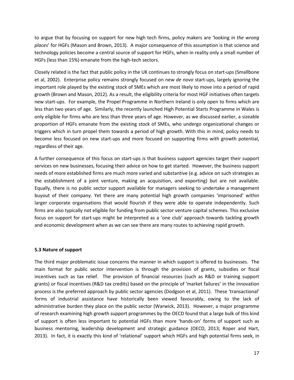to argue that by focusing on support for new high tech firms, policy makers are 'looking *in the wrong places*' for HGFs (Mason and Brown, 2013). A major consequence of this assumption is that science and technology policies become a central source of support for HGFs, when in reality only a small number of HGFs (less than 15%) emanate from the high-tech sectors.

Closely related is the fact that public policy in the UK continues to strongly focus on start-ups (Smallbone et al, 2002). Enterprise policy remains strongly focused on new *de novo* start-ups, largely ignoring the important role played by the existing stock of SMEs which are most likely to move into a period of rapid growth (Brown and Mason, 2012). As a result, the eligibility criteria for most HGF initiatives often targets new start-ups. For example, the Propel Programme in Northern Ireland is only open to firms which are less than two years of age. Similarly, the recently launched High Potential Starts Programme in Wales is only eligible for firms who are less than three years of age. However, as we discussed earlier, a sizeable proportion of HGFs emanate from the existing stock of SMEs, who undergo organizational changes or triggers which in turn propel them towards a period of high growth. With this in mind, policy needs to become less focused on new start-ups and more focused on supporting firms with growth potential, regardless of their age.

A further consequence of this focus on start-ups is that business support agencies target their support services on new businesses, focusing their advice on how to get started. However, the business support needs of more established firms are much more varied and substantive (e.g. advice on such strategies as the establishment of a joint venture, making an acquisition, and exporting) but are not available. Equally, there is no public sector support available for managers seeking to undertake a management buyout of their company. Yet there are many potential high growth companies 'imprisoned' within larger corporate organisations that would flourish if they were able to operate independently. Such firms are also typically not eligible for funding from public sector venture capital schemes. This exclusive focus on support for start-ups might be interpreted as a 'one club' approach towards tackling growth and economic development when as we can see there are many routes to achieving rapid growth.

# **5.3 Nature of support**

The third major problematic issue concerns the manner in which support is offered to businesses. The main format for public sector intervention is through the provision of grants, subsidies or fiscal incentives such as tax relief. The provision of financial resources (such as R&D or training support grants) or fiscal incentives (R&D tax credits) based on the principle of 'market failures' in the innovation process is the preferred approach by public sector agencies (Dodgson et al, 2011). These 'transactional' forms of industrial assistance have historically been viewed favourably, owing to the lack of administrative burden they place on the public sector (Warwick, 2013). However, a major programme of research examining high growth support programmes by the OECD found that a large bulk of this kind of support is often less important to potential HGFs than more 'hands-on' forms of support such as business mentoring, leadership development and strategic guidance (OECD, 2013; Roper and Hart, 2013). In fact, it is exactly this kind of 'relational' support which HGFs and high potential firms seek, in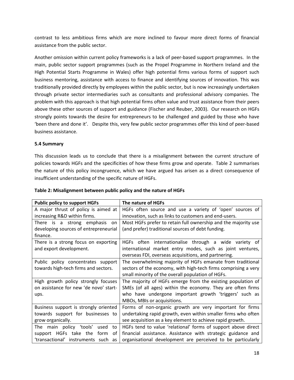contrast to less ambitious firms which are more inclined to favour more direct forms of financial assistance from the public sector.

Another omission within current policy frameworks is a lack of peer-based support programmes. In the main, public sector support programmes (such as the Propel Programme in Northern Ireland and the High Potential Starts Programme in Wales) offer high potential firms various forms of support such business mentoring, assistance with access to finance and identifying sources of innovation. This was traditionally provided directly by employees within the public sector, but is now increasingly undertaken through private sector intermediaries such as consultants and professional advisory companies. The problem with this approach is that high potential firms often value and trust assistance from their peers above these other sources of support and guidance (Fischer and Reuber, 2003). Our research on HGFs strongly points towards the desire for entrepreneurs to be challenged and guided by those who have 'been there and done it'. Despite this, very few public sector programmes offer this kind of peer-based business assistance.

# **5.4 Summary**

This discussion leads us to conclude that there is a misalignment between the current structure of policies towards HGFs and the specificities of how these firms grow and operate. Table 2 summarises the nature of this policy incongruence, which we have argued has arisen as a direct consequence of insufficient understanding of the specific nature of HGFs.

| <b>Public policy to support HGFs</b>   | The nature of HGFs                                             |
|----------------------------------------|----------------------------------------------------------------|
| A major thrust of policy is aimed at   | HGFs often source and use a variety of 'open' sources of       |
| increasing R&D within firms.           | innovation, such as links to customers and end-users.          |
| There is a strong emphasis<br>on       | Most HGFs prefer to retain full ownership and the majority use |
| developing sources of entrepreneurial  | (and prefer) traditional sources of debt funding.              |
| finance.                               |                                                                |
| There is a strong focus on exporting   | internationalise through a wide variety of<br>HGFs often       |
| and export development.                | international market entry modes, such as joint ventures,      |
|                                        | overseas FDI, overseas acquisitions, and partnering.           |
| Public policy concentrates support     | The overwhelming majority of HGFs emanate from traditional     |
| towards high-tech firms and sectors.   | sectors of the economy, with high-tech firms comprising a very |
|                                        | small minority of the overall population of HGFs.              |
| High growth policy strongly focuses    | The majority of HGFs emerge from the existing population of    |
| on assistance for new 'de novo' start- | SMEs (of all ages) within the economy. They are often firms    |
| ups.                                   | who have undergone important growth 'triggers' such as         |
|                                        | MBOs, MBIs or acquisitions.                                    |
| Business support is strongly oriented  | Forms of non-organic growth are very important for firms       |
| towards support for businesses to      | undertaking rapid growth, even within smaller firms who often  |
| grow organically.                      | see acquisition as a key element to achieve rapid growth.      |
| The main policy 'tools'<br>used<br>to  | HGFs tend to value 'relational' forms of support above direct  |
| support HGFs take the<br>form<br>0t    | financial assistance. Assistance with strategic guidance and   |
| 'transactional' instruments such<br>as | organisational development are perceived to be particularly    |

# **Table 2: Misalignment between public policy and the nature of HGFs**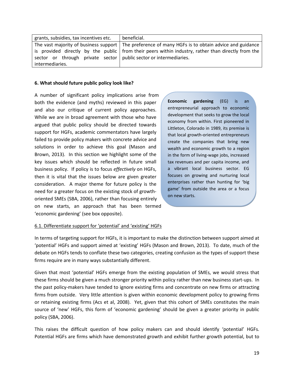| grants, subsidies, tax incentives etc.                              | beneficial.                                                                                          |
|---------------------------------------------------------------------|------------------------------------------------------------------------------------------------------|
|                                                                     | The vast majority of business support   The preference of many HGFs is to obtain advice and guidance |
|                                                                     | is provided directly by the public   from their peers within industry, rather than directly from the |
| sector or through private sector   public sector or intermediaries. |                                                                                                      |
| intermediaries.                                                     |                                                                                                      |

## **6. What should future public policy look like?**

A number of significant policy implications arise from both the evidence (and myths) reviewed in this paper and also our critique of current policy approaches. While we are in broad agreement with those who have argued that public policy should be directed towards support for HGFs, academic commentators have largely failed to provide policy makers with concrete advice and solutions in order to achieve this goal (Mason and Brown, 2013). In this section we highlight some of the key issues which should be reflected in future small business policy. If policy is to focus *effectively* on HGFs, then it is vital that the issues below are given greater consideration. A major theme for future policy is the need for a greater focus on the existing stock of growthoriented SMEs (SBA, 2006), rather than focusing entirely on new starts, an approach that has been termed 'economic gardening' (see box opposite).

**Economic gardening** (EG) is an entrepreneurial approach to economic development that seeks to grow the local economy from within. First pioneered in Littleton, Colorado in 1989, its premise is that local growth-oriented entrepreneurs create the companies that bring new wealth and economic growth to a region in the form of living-wage jobs, increased tax revenues and per capita income, and a vibrant local business sector. EG focuses on growing and nurturing local enterprises rather than hunting for 'big game' from outside the area or a focus on new starts.

# 6.1. Differentiate support for 'potential' and 'existing' HGFs

In terms of targeting support for HGFs, it is important to make the distinction between support aimed at 'potential' HGFs and support aimed at 'existing' HGFs (Mason and Brown, 2013). To date, much of the debate on HGFs tends to conflate these two categories, creating confusion as the types of support these firms require are in many ways substantially different.

Given that most 'potential' HGFs emerge from the existing population of SMEs, we would stress that these firms should be given a much stronger priority within policy rather than new business start-ups. In the past policy-makers have tended to ignore existing firms and concentrate on new firms or attracting firms from outside. Very little attention is given within economic development policy to growing firms or retaining existing firms (Acs et al, 2008). Yet, given that this cohort of SMEs constitutes the main source of 'new' HGFs, this form of 'economic gardening' should be given a greater priority in public policy (SBA, 2006).

This raises the difficult question of how policy makers can and should identify 'potential' HGFs. Potential HGFs are firms which have demonstrated growth and exhibit further growth potential, but to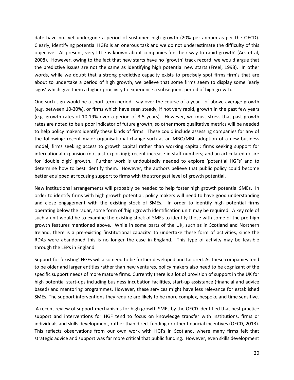date have not yet undergone a period of sustained high growth (20% per annum as per the OECD). Clearly, identifying potential HGFs is an onerous task and we do not underestimate the difficulty of this objective. At present, very little is known about companies 'on their way to rapid growth' (Acs et al, 2008). However, owing to the fact that new starts have no 'growth' track record, we would argue that the predictive issues are not the same as identifying high potential new starts (Freel, 1998). In other words, while we doubt that a strong predictive capacity exists to precisely spot firms firm's that are about to undertake a period of high growth, we believe that some firms seem to display some 'early signs' which give them a higher proclivity to experience a subsequent period of high growth.

One such sign would be a short-term period - say over the course of a year - of above average growth (e.g. between 10-30%), or firms which have seen steady, if not very rapid, growth in the past few years (e.g. growth rates of 10-19% over a period of 3-5 years). However, we must stress that past growth rates are noted to be a poor indicator of future growth, so other more qualitative metrics will be needed to help policy makers identify these kinds of firms. These could include assessing companies for any of the following: recent major organisational change such as an MBO/MBI; adoption of a new business model; firms seeking access to growth capital rather than working capital; firms seeking support for international expansion (not just exporting); recent increase in staff numbers; and an articulated desire for 'double digit' growth. Further work is undoubtedly needed to explore 'potential HGFs' and to determine how to best identify them. However, the authors believe that public policy could become better equipped at focusing support to firms with the strongest level of growth potential.

New institutional arrangements will probably be needed to help foster high growth potential SMEs. In order to identify firms with high growth potential, policy makers will need to have good understanding and close engagement with the existing stock of SMEs. In order to identify high potential firms operating below the radar, some form of 'high growth identification unit' may be required. A key role of such a unit would be to examine the existing stock of SMEs to identify those with some of the pre-high growth features mentioned above. While in some parts of the UK, such as in Scotland and Northern Ireland, there is a pre-existing 'institutional capacity' to undertake these form of activities, since the RDAs were abandoned this is no longer the case in England. This type of activity may be feasible through the LEPs in England.

Support for 'existing' HGFs will also need to be further developed and tailored. As these companies tend to be older and larger entities rather than new ventures, policy makers also need to be cognizant of the specific support needs of more mature firms. Currently there is a lot of provision of support in the UK for high potential start-ups including business incubation facilities, start-up assistance (financial and advice based) and mentoring programmes. However, these services might have less relevance for established SMEs. The support interventions they require are likely to be more complex, bespoke and time sensitive.

A recent review of support mechanisms for high growth SMEs by the OECD identified that best practice support and interventions for HGF tend to focus on knowledge transfer with institutions, firms or individuals and skills development, rather than direct funding or other financial incentives (OECD, 2013). This reflects observations from our own work with HGFs in Scotland, where many firms felt that strategic advice and support was far more critical that public funding. However, even skills development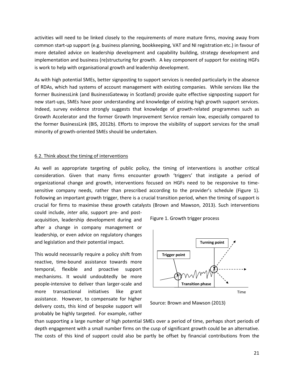activities will need to be linked closely to the requirements of more mature firms, moving away from common start-up support (e.g. business planning, bookkeeping, VAT and NI registration etc.) in favour of more detailed advice on leadership development and capability building, strategy development and implementation and business (re)structuring for growth. A key component of support for existing HGFs is work to help with organisational growth and leadership development.

As with high potential SMEs, better signposting to support services is needed particularly in the absence of RDAs, which had systems of account management with existing companies. While services like the former BusinessLink (and BusinessGateway in Scotland) provide quite effective signposting support for new start-ups, SMEs have poor understanding and knowledge of existing high growth support services. Indeed, survey evidence strongly suggests that knowledge of growth-related programmes such as Growth Accelerator and the former Growth Improvement Service remain low, especially compared to the former BusinessLink (BIS, 2012b). Efforts to improve the visibility of support services for the small minority of growth-oriented SMEs should be undertaken.

## 6.2. Think about the timing of interventions

As well as appropriate targeting of public policy, the timing of interventions is another critical consideration. Given that many firms encounter growth 'triggers' that instigate a period of organizational change and growth, interventions focused on HGFs need to be responsive to timesensitive company needs, rather than prescribed according to the provider's schedule (Figure 1). Following an important growth trigger, there is a crucial transition period, when the timing of support is crucial for firms to maximise these growth catalysts (Brown and Mawson, 2013). Such interventions

could include, *inter alia*, support pre- and postacquisition, leadership development during and after a change in company management or leadership, or even advice on regulatory changes and legislation and their potential impact.

This would necessarily require a policy shift from reactive, time-bound assistance towards more temporal, flexible and proactive support mechanisms. It would undoubtedly be more people-intensive to deliver than larger-scale and more transactional initiatives like grant assistance. However, to compensate for higher delivery costs, this kind of bespoke support will probably be highly targeted. For example, rather





Source: Brown and Mawson (2013)

than supporting a large number of high potential SMEs over a period of time, perhaps short periods of depth engagement with a small number firms on the cusp of significant growth could be an alternative. The costs of this kind of support could also be partly be offset by financial contributions from the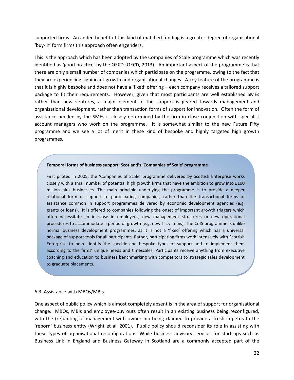supported firms. An added benefit of this kind of matched funding is a greater degree of organisational 'buy-in' form firms this approach often engenders.

This is the approach which has been adopted by the Companies of Scale programme which was recently identified as 'good practice' by the OECD (OECD, 2013). An important aspect of the programme is that there are only a small number of companies which participate on the programme, owing to the fact that they are experiencing significant growth and organisational changes. A key feature of the programme is that it is highly bespoke and does not have a 'fixed' offering – each company receives a tailored support package to fit their requirements. However, given that most participants are well established SMEs rather than new ventures, a major element of the support is geared towards management and organisational development, rather than transaction forms of support for innovation. Often the form of assistance needed by the SMEs is closely determined by the firm in close conjunction with specialist account managers who work on the programme. It is somewhat similar to the new Future Fifty programme and we see a lot of merit in these kind of bespoke and highly targeted high growth programmes.

## **Temporal forms of business support: Scotland's 'Companies of Scale' programme**

First piloted in 2005, the 'Companies of Scale' programme delivered by Scottish Enterprise works closely with a small number of potential high growth firms that have the ambition to grow into £100 million plus businesses. The main principle underlying the programme is to provide a deeper relational form of support to participating companies, rather than the transactional forms of assistance common in support programmes delivered by economic development agencies (e.g. grants or loans). It is offered to companies following the onset of important growth triggers which often necessitate an increase in employees, new management structures or new operational procedures to accommodate a period of growth (e.g. new IT systems). The CofS programme is unlike normal business development programmes, as it is not a 'fixed' offering which has a universal package of support tools for all participants. Rather, participating firms work intensively with Scottish Enterprise to help identify the specific and bespoke types of support and to implement them according to the firms' unique needs and timescales. Participants receive anything from executive coaching and education to business benchmarking with competitors to strategic sales development to graduate placements.

## 6.3. Assistance with MBOs/MBIs

One aspect of public policy which is almost completely absent is in the area of support for organisational change. MBOs, MBIs and employee-buy outs often result in an existing business being reconfigured, with the (re)uniting of management with ownership being claimed to provide a fresh impetus to the 'reborn' business entity (Wright et al, 2001). Public policy should reconsider its role in assisting with these types of organisational reconfigurations. While business advisory services for start-ups such as Business Link in England and Business Gateway in Scotland are a commonly accepted part of the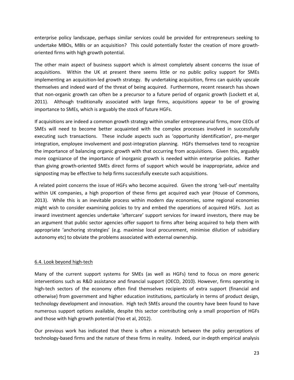enterprise policy landscape, perhaps similar services could be provided for entrepreneurs seeking to undertake MBOs, MBIs or an acquisition? This could potentially foster the creation of more growthoriented firms with high growth potential.

The other main aspect of business support which is almost completely absent concerns the issue of acquisitions. Within the UK at present there seems little or no public policy support for SMEs implementing an acquisition-led growth strategy. By undertaking acquisition, firms can quickly upscale themselves and indeed ward of the threat of being acquired. Furthermore, recent research has shown that non-organic growth can often be a precursor to a future period of organic growth (Lockett et al, 2011). Although traditionally associated with large firms, acquisitions appear to be of growing importance to SMEs, which is arguably the stock of future HGFs.

If acquisitions are indeed a common growth strategy within smaller entrepreneurial firms, more CEOs of SMEs will need to become better acquainted with the complex processes involved in successfully executing such transactions. These include aspects such as 'opportunity identification', pre-merger integration, employee involvement and post-integration planning. HGFs themselves tend to recognize the importance of balancing organic growth with that occurring from acquisitions. Given this, arguably more cognizance of the importance of inorganic growth is needed within enterprise policies. Rather than giving growth-oriented SMEs direct forms of support which would be inappropriate, advice and signposting may be effective to help firms successfully execute such acquisitions.

A related point concerns the issue of HGFs who become acquired. Given the strong 'sell-out' mentality within UK companies, a high proportion of these firms get acquired each year (House of Commons, 2013). While this is an inevitable process within modern day economies, some regional economies might wish to consider examining policies to try and embed the operations of acquired HGFs. Just as inward investment agencies undertake 'aftercare' support services for inward investors, there may be an argument that public sector agencies offer support to firms after being acquired to help them with appropriate 'anchoring strategies' (e.g. maximise local procurement, minimise dilution of subsidiary autonomy etc) to obviate the problems associated with external ownership.

# 6.4. Look beyond high-tech

Many of the current support systems for SMEs (as well as HGFs) tend to focus on more generic interventions such as R&D assistance and financial support (OECD, 2010). However, firms operating in high-tech sectors of the economy often find themselves recipients of extra support (financial and otherwise) from government and higher education institutions, particularly in terms of product design, technology development and innovation. High tech SMEs around the country have been found to have numerous support options available, despite this sector contributing only a small proportion of HGFs and those with high growth potential (Yoo et al, 2012).

Our previous work has indicated that there is often a mismatch between the policy perceptions of technology-based firms and the nature of these firms in reality. Indeed, our in-depth empirical analysis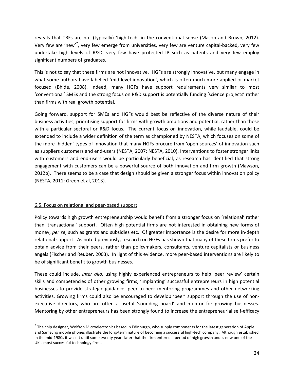reveals that TBFs are not (typically) 'high-tech' in the conventional sense (Mason and Brown, 2012). Very few are 'new'<sup>[7](#page-25-0)</sup>, very few emerge from universities, very few are venture capital-backed, very few undertake high levels of R&D, very few have protected IP such as patents and very few employ significant numbers of graduates.

This is not to say that these firms are not innovative. HGFs are strongly innovative, but many engage in what some authors have labelled 'mid-level innovation', which is often much more applied or market focused (Bhide, 2008). Indeed, many HGFs have support requirements very similar to most 'conventional' SMEs and the strong focus on R&D support is potentially funding 'science projects' rather than firms with real growth potential.

Going forward, support for SMEs and HGFs would best be reflective of the diverse nature of their business activities, prioritising support for firms with growth ambitions and potential, rather than those with a particular sectoral or R&D focus. The current focus on innovation, while laudable, could be extended to include a wider definition of the term as championed by NESTA, which focuses on some of the more 'hidden' types of innovation that many HGFs procure from 'open sources' of innovation such as suppliers customers and end-users (NESTA, 2007; NESTA, 2010). Interventions to foster stronger links with customers and end-users would be particularly beneficial, as research has identified that strong engagement with customers can be a powerful source of both innovation and firm growth (Mawson, 2012b). There seems to be a case that design should be given a stronger focus within innovation policy (NESTA, 2011; Green et al, 2013).

# 6.5. Focus on relational and peer-based support

Policy towards high growth entrepreneurship would benefit from a stronger focus on 'relational' rather than 'transactional' support. Often high potential firms are not interested in obtaining new forms of money, *per se*, such as grants and subsidies etc. Of greater importance is the desire for more in-depth relational support. As noted previously, research on HGFs has shown that many of these firms prefer to obtain advice from their peers, rather than policymakers, consultants, venture capitalists or business angels (Fischer and Reuber, 2003). In light of this evidence, more peer-based interventions are likely to be of significant benefit to growth businesses.

These could include, *inter alia*, using highly experienced entrepreneurs to help 'peer review' certain skills and competencies of other growing firms, 'implanting' successful entrepreneurs in high potential businesses to provide strategic guidance, peer-to-peer mentoring programmes and other networking activities. Growing firms could also be encouraged to develop 'peer' support through the use of nonexecutive directors, who are often a useful 'sounding board' and mentor for growing businesses. Mentoring by other entrepreneurs has been strongly found to increase the entrepreneurial self-efficacy

<span id="page-25-0"></span> $<sup>7</sup>$  The chip designer, Wolfson Microelectronics based in Edinburgh, who supply components for the latest generation of Apple</sup> and Samsung mobile phones illustrate the long-term nature of becoming a successful high-tech company. Although established in the mid-1980s it wasn't until some twenty years later that the firm entered a period of high growth and is now one of the UK's most successful technology firms.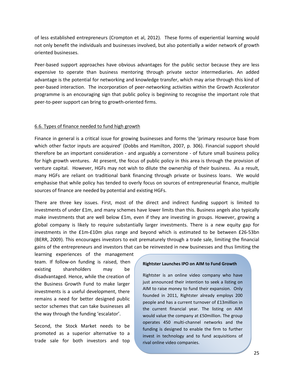of less established entrepreneurs (Crompton et al, 2012). These forms of experiential learning would not only benefit the individuals and businesses involved, but also potentially a wider network of growth oriented businesses.

Peer-based support approaches have obvious advantages for the public sector because they are less expensive to operate than business mentoring through private sector intermediaries. An added advantage is the potential for networking and knowledge transfer, which may arise through this kind of peer-based interaction. The incorporation of peer-networking activities within the Growth Accelerator programme is an encouraging sign that public policy is beginning to recognise the important role that peer-to-peer support can bring to growth-oriented firms.

## 6.6. Types of finance needed to fund high growth

Finance in general is a critical issue for growing businesses and forms the 'primary resource base from which other factor inputs are acquired' (Dobbs and Hamilton, 2007, p. 306). Financial support should therefore be an important consideration - and arguably a cornerstone - of future small business policy for high growth ventures. At present, the focus of public policy in this area is through the provision of venture capital. However, HGFs may not wish to dilute the ownership of their business. As a result, many HGFs are reliant on traditional bank financing through private or business loans. We would emphasise that while policy has tended to overly focus on sources of entrepreneurial finance, multiple sources of finance are needed by potential and existing HGFs.

There are three key issues. First, most of the direct and indirect funding support is limited to investments of under £1m, and many schemes have lower limits than this. Business angels also typically make investments that are well below £1m, even if they are investing in groups. However, growing a global company is likely to require substantially larger investments. There is a new equity gap for investments in the £1m-£10m plus range and beyond which is estimated to be between £26-53bn (BERR, 2009). This encourages investors to exit prematurely through a trade sale, limiting the financial gains of the entrepreneurs and investors that can be reinvested in new businesses and thus limiting the

learning experiences of the management team. If follow-on funding is raised, then existing shareholders may be disadvantaged. Hence, while the creation of the Business Growth Fund to make larger investments is a useful development, there remains a need for better designed public sector schemes that can take businesses all the way through the funding 'escalator'.

Second, the Stock Market needs to be promoted as a superior alternative to a trade sale for both investors and top

#### **Rightster Launches IPO on AIM to Fund Growth**

Rightster is an online video company who have just announced their intention to seek a listing on AIM to raise money to fund their expansion. Only founded in 2011, Rightster already employs 200 people and has a current turnover of £13million in the current financial year. The listing on AIM would value the company at £50million. The group operates 450 multi-channel networks and the funding is designed to enable the firm to further invest in technology and to fund acquisitions of rival online video companies.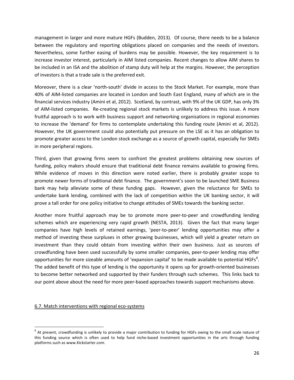management in larger and more mature HGFs (Budden, 2013). Of course, there needs to be a balance between the regulatory and reporting obligations placed on companies and the needs of investors. Nevertheless, some further easing of burdens may be possible. However, the key requirement is to increase investor interest, particularly in AIM listed companies. Recent changes to allow AIM shares to be included in an ISA and the abolition of stamp duty will help at the margins. However, the perception of investors is that a trade sale is the preferred exit.

Moreover, there is a clear 'north-south' divide in access to the Stock Market. For example, more than 40% of AIM-listed companies are located in London and South East England, many of which are in the financial services industry (Amini et al, 2012). Scotland, by contrast, with 9% of the UK GDP, has only 3% of AIM-listed companies. Re-creating regional stock markets is unlikely to address this issue. A more fruitful approach is to work with business support and networking organisations in regional economies to increase the 'demand' for firms to contemplate undertaking this funding route (Amini et al, 2012). However, the UK government could also potentially put pressure on the LSE as it has an obligation to promote greater access to the London stock exchange as a source of growth capital, especially for SMEs in more peripheral regions.

Third, given that growing firms seem to confront the greatest problems obtaining new sources of funding, policy makers should ensure that traditional debt finance remains available to growing firms. While evidence of moves in this direction were noted earlier, there is probably greater scope to promote newer forms of traditional debt finance. The government's soon to be launched SME Business bank may help alleviate some of these funding gaps. However, given the reluctance for SMEs to undertake bank lending, combined with the lack of competition within the UK banking sector, it will prove a tall order for one policy initiative to change attitudes of SMEs towards the banking sector.

Another more fruitful approach may be to promote more peer-to-peer and crowdfunding lending schemes which are experiencing very rapid growth (NESTA, 2013). Given the fact that many larger companies have high levels of retained earnings, 'peer-to-peer' lending opportunities may offer a method of investing these surpluses in other growing businesses, which will yield a greater return on investment than they could obtain from investing within their own business. Just as sources of crowdfunding have been used successfully by some smaller companies, peer-to-peer lending may offer opportunities for more sizeable amounts of 'expansion capital' to be made available to potential HGFs $^{8}$  $^{8}$  $^{8}$ . The added benefit of this type of lending is the opportunity it opens up for growth-oriented businesses to become better networked and supported by their funders through such schemes. This links back to our point above about the need for more peer-based approaches towards support mechanisms above.

# 6.7. Match interventions with regional eco-systems

<span id="page-27-0"></span> $8$  At present, crowdfunding is unlikely to provide a major contribution to funding for HGFs owing to the small scale nature of this funding source which is often used to help fund niche-based investment opportunities in the arts through funding platforms such as www.Kickstarter.com.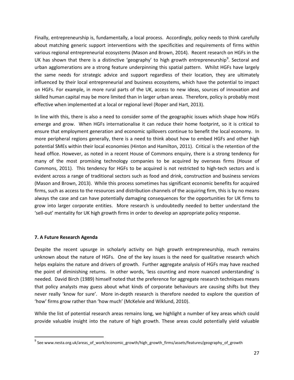Finally, entrepreneurship is, fundamentally, a local process. Accordingly, policy needs to think carefully about matching generic support interventions with the specificities and requirements of firms within various regional entrepreneurial ecosystems (Mason and Brown, 2014). Recent research on HGFs in the UK has shown that there is a distinctive 'geography' to high growth entrepreneurship<sup>[9](#page-28-0)</sup>. Sectoral and urban agglomerations are a strong feature underpinning this spatial pattern. Whilst HGFs have largely the same needs for strategic advice and support regardless of their location, they are ultimately influenced by their local entrepreneurial and business ecosystems, which have the potential to impact on HGFs. For example, in more rural parts of the UK, access to new ideas, sources of innovation and skilled human capital may be more limited than in larger urban areas. Therefore, policy is probably most effective when implemented at a local or regional level (Roper and Hart, 2013).

In line with this, there is also a need to consider some of the geographic issues which shape how HGFs emerge and grow. When HGFs internationalise it can reduce their home footprint, so it is critical to ensure that employment generation and economic spillovers continue to benefit the local economy. In more peripheral regions generally, there is a need to think about how to embed HGFs and other high potential SMEs within their local economies (Hinton and Hamilton, 2011). Critical is the retention of the head office. However, as noted in a recent House of Commons enquiry, there is a strong tendency for many of the most promising technology companies to be acquired by overseas firms (House of Commons, 2011). This tendency for HGFs to be acquired is not restricted to high-tech sectors and is evident across a range of traditional sectors such as food and drink, construction and business services (Mason and Brown, 2013). While this process sometimes has significant economic benefits for acquired firms, such as access to the resources and distribution channels of the acquiring firm, this is by no means always the case and can have potentially damaging consequences for the opportunities for UK firms to grow into larger corporate entities. More research is undoubtedly needed to better understand the 'sell-out' mentality for UK high growth firms in order to develop an appropriate policy response.

# **7. A Future Research Agenda**

Despite the recent upsurge in scholarly activity on high growth entrepreneurship, much remains unknown about the nature of HGFs. One of the key issues is the need for qualitative research which helps explains the nature and drivers of growth. Further aggregate analysis of HGFs may have reached the point of diminishing returns. In other words, 'less counting and more nuanced understanding' is needed. David Birch (1989) himself noted that the preference for aggregate research techniques means that policy analysts may guess about what kinds of corporate behaviours are causing shifts but they never really 'know for sure'. More in-depth research is therefore needed to explore the question of 'how' firms grow rather than 'how much' (McKelvie and Wiklund, 2010).

While the list of potential research areas remains long, we highlight a number of key areas which could provide valuable insight into the nature of high growth. These areas could potentially yield valuable

<span id="page-28-0"></span> $^9$  See www.nesta.org.uk/areas of work/economic\_growth/high\_growth\_firms/assets/features/geography\_of\_growth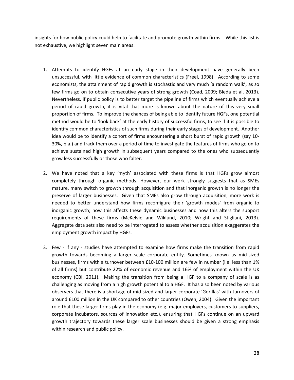insights for how public policy could help to facilitate and promote growth within firms. While this list is not exhaustive, we highlight seven main areas:

- 1. Attempts to identify HGFs at an early stage in their development have generally been unsuccessful, with little evidence of common characteristics (Freel, 1998). According to some economists, the attainment of rapid growth is stochastic and very much 'a random walk', as so few firms go on to obtain consecutive years of strong growth (Coad, 2009; Bleda et al, 2013). Nevertheless, if public policy is to better target the pipeline of firms which eventually achieve a period of rapid growth, it is vital that more is known about the nature of this very small proportion of firms. To improve the chances of being able to identify future HGFs, one potential method would be to 'look back' at the early history of successful firms, to see if it is possible to identify common characteristics of such firms during their early stages of development. Another idea would be to identify a cohort of firms encountering a short burst of rapid growth (say 10- 30%, p.a.) and track them over a period of time to investigate the features of firms who go on to achieve sustained high growth in subsequent years compared to the ones who subsequently grow less successfully or those who falter.
- 2. We have noted that a key 'myth' associated with these firms is that HGFs grow almost completely through organic methods. However, our work strongly suggests that as SMEs mature, many switch to growth through acquisition and that inorganic growth is no longer the preserve of larger businesses. Given that SMEs also grow through acquisition, more work is needed to better understand how firms reconfigure their 'growth modes' from organic to inorganic growth; how this affects these dynamic businesses and how this alters the support requirements of these firms (McKelvie and Wiklund, 2010; Wright and Stigliani, 2013). Aggregate data sets also need to be interrogated to assess whether acquisition exaggerates the employment growth impact by HGFs.
- 3. Few if any studies have attempted to examine how firms make the transition from rapid growth towards becoming a larger scale corporate entity. Sometimes known as mid-sized businesses, firms with a turnover between £10-100 million are few in number (i.e. less than 1% of all firms) but contribute 22% of economic revenue and 16% of employment within the UK economy (CBI, 2011). Making the transition from being a HGF to a company of scale is as challenging as moving from a high growth potential to a HGF. It has also been noted by various observers that there is a shortage of mid-sized and larger corporate 'Gorillas' with turnovers of around £100 million in the UK compared to other countries (Owen, 2004). Given the important role that these larger firms play in the economy (e.g. major employers, customers to suppliers, corporate incubators, sources of innovation etc.), ensuring that HGFs continue on an upward growth trajectory towards these larger scale businesses should be given a strong emphasis within research and public policy.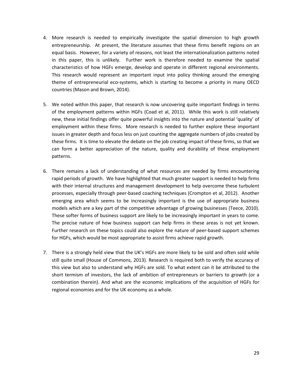- 4. More research is needed to empirically investigate the spatial dimension to high growth entrepreneurship. At present, the literature assumes that these firms benefit regions on an equal basis. However, for a variety of reasons, not least the internationalization patterns noted in this paper, this is unlikely. Further work is therefore needed to examine the spatial characteristics of how HGFs emerge, develop and operate in different regional environments. This research would represent an important input into policy thinking around the emerging theme of entrepreneurial eco-systems, which is starting to become a priority in many OECD countries (Mason and Brown, 2014).
- 5. We noted within this paper, that research is now uncovering quite important findings in terms of the employment patterns within HGFs (Coad et al, 2011). While this work is still relatively new, these initial findings offer quite powerful insights into the nature and potential 'quality' of employment within these firms. More research is needed to further explore these important issues in greater depth and focus less on just counting the aggregate numbers of jobs created by these firms. It is time to elevate the debate on the job creating impact of these firms, so that we can form a better appreciation of the nature, quality and durability of these employment patterns.
- 6. There remains a lack of understanding of what resources are needed by firms encountering rapid periods of growth. We have highlighted that much greater support is needed to help firms with their internal structures and management development to help overcome these turbulent processes, especially through peer-based coaching techniques (Crompton et al, 2012). Another emerging area which seems to be increasingly important is the use of appropriate business models which are a key part of the competitive advantage of growing businesses (Teece, 2010). These softer forms of business support are likely to be increasingly important in years to come. The precise nature of how business support can help firms in these areas is not yet known. Further research on these topics could also explore the nature of peer-based support schemes for HGFs, which would be most appropriate to assist firms achieve rapid growth.
- 7. There is a strongly held view that the UK's HGFs are more likely to be sold and often sold while still quite small (House of Commons, 2013). Research is required both to verify the accuracy of this view but also to understand why HGFs are sold. To what extent can it be attributed to the short termism of investors, the lack of ambition of entrepreneurs or barriers to growth (or a combination therein). And what are the economic implications of the acquisition of HGFs for regional economies and for the UK economy as a whole.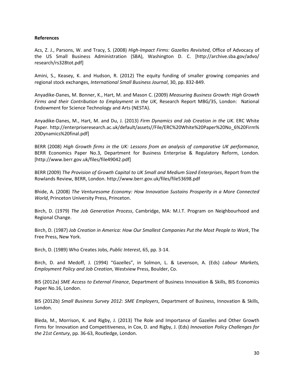## **References**

Acs, Z. J., Parsons, W. and Tracy, S. (2008) *High-Impact Firms: Gazelles Revisited*, Office of Advocacy of the US Small Business Administration (SBA), Washington D. C. [http://archive.sba.gov/advo/ research/rs328tot.pdf]

Amini, S., Keasey, K. and Hudson, R. (2012) The equity funding of smaller growing companies and regional stock exchanges, *International Small Business Journal*, 30, pp. 832-849.

Anyadike-Danes, M. Bonner, K., Hart, M. and Mason C. (2009) *Measuring Business Growth: High Growth Firms and their Contribution to Employment in the UK*, Research Report MBG/35, London: National Endowment for Science Technology and Arts (NESTA).

Anyadike-Danes, M., Hart, M. and Du, J. (2013) *Firm Dynamics and Job Creation in the UK*. ERC White Paper. http://enterpriseresearch.ac.uk/default/assets//File/ERC%20White%20Paper%20No\_6%20Firm% 20Dynamics%20final.pdf]

BERR (2008) *High Growth firms in the UK: Lessons from an analysis of comparative UK performance*, BERR Economics Paper No.3, Department for Business Enterprise & Regulatory Reform, London. [http://www.berr.gov.uk/files/file49042.pdf]

BERR (2009) *The Provision of Growth Capital to UK Small and Medium Sized Enterprises*, Report from the Rowlands Review, BERR, London. http://www.berr.gov.uk/files/file53698.pdf

Bhide, A. (2008) *The Venturesome Economy: How Innovation Sustains Prosperity in a More Connected World*, Princeton University Press, Princeton.

Birch, D. (1979) *The Job Generation Process*, Cambridge, MA: M.I.T. Program on Neighbourhood and Regional Change.

Birch, D. (1987) *Job Creation in America: How Our Smallest Companies Put the Most People to Work*, The Free Press, New York.

Birch, D. (1989) Who Creates Jobs, *Public Interest*, 65, pp. 3-14.

Birch, D. and Medoff, J. (1994) "Gazelles", in Solmon, L. & Levenson, A. (Eds) *Labour Markets, Employment Policy and Job Creation*, Westview Press, Boulder, Co.

BIS (2012a) *SME Access to External Finance*, Department of Business Innovation & Skills, BIS Economics Paper No.16, London.

BIS (2012b) *Small Business Survey 2012: SME Employers*, Department of Business, Innovation & Skills, London.

Bleda, M., Morrison, K. and Rigby, J. (2013) The Role and Importance of Gazelles and Other Growth Firms for Innovation and Competitiveness, in Cox, D. and Rigby, J. (Eds) *Innovation Policy Challenges for the 21st Century*, pp. 36-63, Routledge, London.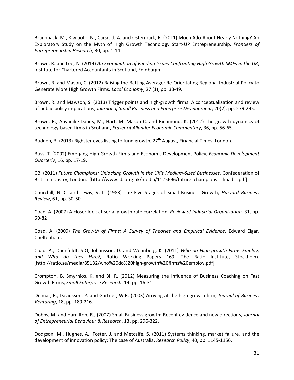Brannback, M., Kiviluoto, N., Carsrud, A. and Ostermark, R. (2011) Much Ado About Nearly Nothing? An Exploratory Study on the Myth of High Growth Technology Start-UP Entrepreneurship*, Frontiers of Entrepreneurship Research*, 30, pp. 1-14.

Brown, R. and Lee, N. (2014) *An Examination of Funding Issues Confronting High Growth SMEs in the UK*, Institute for Chartered Accountants in Scotland, Edinburgh.

Brown, R. and Mason, C. (2012) Raising the Batting Average: Re-Orientating Regional Industrial Policy to Generate More High Growth Firms*, Local Economy*, 27 (1), pp. 33-49.

Brown, R. and Mawson, S. (2013) Trigger points and high-growth firms: A conceptualisation and review of public policy implications, *Journal of Small Business and Enterprise Development*, 20(2), pp. 279-295.

Brown, R., Anyadike-Danes, M., Hart, M. Mason C. and Richmond, K. (2012) The growth dynamics of technology-based firms in Scotland**,** *Fraser of Allander Economic Commentary*, 36, pp. 56-65.

Budden, R. (2013) Righster eyes listing to fund growth, 27<sup>th</sup> August, Financial Times, London.

Buss, T. (2002) Emerging High Growth Firms and Economic Development Policy, *Economic Development Quarterly*, 16, pp. 17-19.

CBI (2011) *Future Champions: Unlocking Growth in the UK's Medium-Sized Businesses*, Confederation of British Industry, London. [http://www.cbi.org.uk/media/1125696/future\_champions\_\_finalb\_.pdf]

Churchill, N. C. and Lewis, V. L. (1983) The Five Stages of Small Business Growth, *Harvard Business Review*, 61, pp. 30-50

Coad, A. (2007) A closer look at serial growth rate correlation, *Review of Industrial Organization,* 31, pp. 69-82

Coad, A. (2009) *The Growth of Firms: A Survey of Theories and Empirical Evidence*, Edward Elgar, Cheltenham.

Coad, A., Daunfeldt, S-O, Johansson, D. and Wennberg, K. (2011) *Who do High-growth Firms Employ, and Who do they Hire?*, Ratio Working Papers 169, The Ratio Institute, Stockholm. [http://ratio.se/media/85132/who%20do%20high-growth%20firms%20employ.pdf]

Crompton, B, Smyrnios, K. and Bi, R. (2012) Measuring the Influence of Business Coaching on Fast Growth Firms, *Small Enterprise Research*, 19, pp. 16-31.

Delmar, F., Davidsson, P. and Gartner, W.B. (2003) Arriving at the high-growth firm, *Journal of Business Venturing*, 18, pp. 189-216.

Dobbs, M. and Hamilton, R., (2007) Small Business growth: Recent evidence and new directions, *Journal of Entrepreneurial Behaviour & Research*, 13, pp. 296-322.

Dodgson, M., Hughes, A., Foster, J. and Metcalfe, S. (2011) Systems thinking, market failure, and the development of innovation policy: The case of Australia, *Research Policy*, 40, pp. 1145-1156.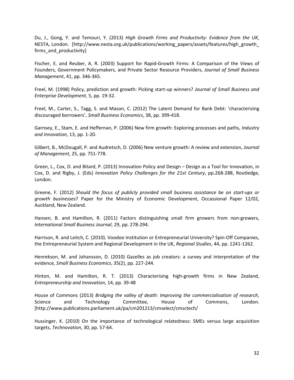Du, J., Gong, Y. and Temouri, Y. (2013) *High Growth Firms and Productivity: Evidence from the UK*, NESTA, London. [http://www.nesta.org.uk/publications/working\_papers/assets/features/high\_growth\_ firms\_and\_productivity]

Fischer, E. and Reuber, A. R. (2003) Support for Rapid-Growth Firms: A Comparison of the Views of Founders, Government Policymakers, and Private Sector Resource Providers, *Journal of Small Business Management*, 41, pp. 346-365.

Freel, M. (1998) Policy, prediction and growth: Picking start-up winners? *Journal of Small Business and Enterprise Development,* 5, pp. 19-32.

Freel, M., Carter, S., Tagg, S. and Mason, C. (2012) The Latent Demand for Bank Debt: 'characterizing discouraged borrowers', *Small Business Economics*, 38, pp. 399-418.

Garnsey, E., Stam, E. and Heffernan, P. (2006) New firm growth: Exploring processes and paths, *Industry and Innovation*, 13, pp. 1-20.

Gilbert, B., McDougall, P. and Audretsch, D. (2006) New venture growth: A review and extension, *Journal of Management*, 25, pp. 751-778.

Green, L., Cox, D. and Bitard, P. (2013) Innovation Policy and Design – Design as a Tool for Innovation, in Cox, D. and Rigby, J. (Eds) *Innovation Policy Challenges for the 21st Century*, pp.268-288, Routledge, London.

Greene, F. (2012) *Should the focus of publicly provided small business assistance be on start-ups or growth businesses*? Paper for the Ministry of Economic Development, Occassional Paper 12/02, Auckland, New Zealand.

Hansen, B. and Hamilton, R. (2011) Factors distinguishing small firm growers from non-growers, *International Small Business Journal*, 29, pp. 278-294.

Harrison, R. and Leitch, C. (2010). Voodoo Institution or Entrepreneurial University? Spin-Off Companies, the Entrepreneurial System and Regional Development in the UK, *Regional Studies*, 44, pp. 1241-1262.

Henrekson, M. and Johansson, D. (2010) Gazelles as job creators: a survey and interpretation of the evidence, *Small Business Economics*, 35(2), pp. 227-244.

Hinton, M. and Hamilton, R. T. (2013) Characterising high-growth firms in New Zealand, *Entrepreneurship and Innovation*, 14, pp. 39-48

House of Commons (2013) *Bridging the valley of death: Improving the commercialisation of research*, Science and Technology Committee, House of Commons, London. [http://www.publications.parliament.uk/pa/cm201213/cmselect/cmsctech/

Hussinger, K. (2010) On the importance of technological relatedness: SMEs versus large acquisition targets, *Technovation*, 30, pp. 57-64.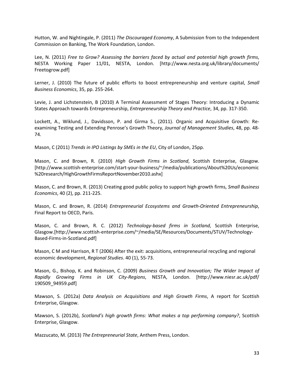Hutton, W. and Nightingale, P. (2011) *The Discouraged Economy*, A Submission from to the Independent Commission on Banking, The Work Foundation, London.

Lee, N. (2011) *Free to Grow? Assessing the barriers faced by actual and potential high growth firms*, NESTA Working Paper 11/01, NESTA, London. [http://www.nesta.org.uk/library/documents/ Freetogrow.pdf]

Lerner, J. (2010) The future of public efforts to boost entrepreneurship and venture capital, *Small Business Economics*, 35, pp. 255-264.

Levie, J. and Lichstenstein, B (2010) A Terminal Assessment of Stages Theory: Introducing a Dynamic States Approach towards Entrepreneurship, *Entrepreneurship Theory and Practice*, 34, pp. 317-350.

Lockett, A., Wiklund, J., Davidsson, P. and Girma S., (2011). Organic and Acquisitive Growth: Reexamining Testing and Extending Penrose's Growth Theory, *Journal of Management Studies*, 48, pp. 48- 74.

Mason, C (2011) *Trends in IPO Listings by SMEs in the EU*, City of London, 25pp.

Mason, C. and Brown, R. (2010) *High Growth Firms in Scotland*, Scottish Enterprise, Glasgow. [http://www.scottish-enterprise.com/start-your-business/~/media/publications/About%20Us/economic %20research/HighGrowthFirmsReportNovember2010.ashx]

Mason, C. and Brown, R. (2013) Creating good public policy to support high growth firms, *Small Business Economics*, 40 (2), pp. 211-225.

Mason, C. and Brown, R. (2014) *Entrepreneurial Ecosystems and Growth-Oriented Entrepreneurship*, Final Report to OECD, Paris.

Mason, C. and Brown, R. C. (2012) *Technology-based firms in Scotland*, Scottish Enterprise, Glasgow.[http://www.scottish-enterprise.com/~/media/SE/Resources/Documents/STUV/Technology-Based-Firms-in-Scotland.pdf]

Mason, C M and Harrison, R T (2006) After the exit: acquisitions, entrepreneurial recycling and regional economic development, *Regional Studies*. 40 (1), 55-73.

Mason, G., Bishop, K. and Robinson, C. (2009) *Business Growth and Innovation; The Wider Impact of Rapidly Growing Firms in UK City-Regions*, NESTA, London. [http://www.niesr.ac.uk/pdf/ 190509\_94959.pdf]

Mawson, S. (2012a) *Data Analysis on Acquisitions and High Growth Firms*, A report for Scottish Enterprise, Glasgow.

Mawson, S. (2012b), *Scotland's high growth firms: What makes a top performing company?*, Scottish Enterprise, Glasgow.

Mazzucato, M. (2013) *The Entrepreneurial State*, Anthem Press, London.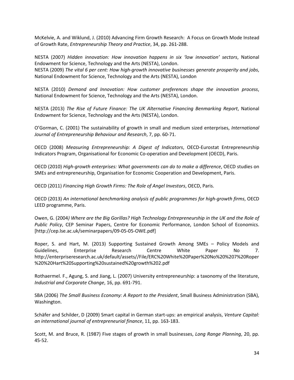McKelvie, A. and Wiklund, J. (2010) Advancing Firm Growth Research: A Focus on Growth Mode Instead of Growth Rate, *Entrepreneurship Theory and Practice*, 34, pp. 261-288.

NESTA (2007) *Hidden innovation: How innovation happens in six 'low innovation' sectors*, National Endowment for Science, Technology and the Arts (NESTA), London. NESTA (2009) *The vital 6 per cent: How high-growth innovative businesses generate prosperity and jobs*,

National Endowment for Science, Technology and the Arts (NESTA), London

NESTA (2010) *Demand and Innovation: How customer preferences shape the innovation process*, National Endowment for Science, Technology and the Arts (NESTA), London.

NESTA (2013) *The Rise of Future Finance: The UK Alternative Financing Benmarking Report*, National Endowment for Science, Technology and the Arts (NESTA), London.

O'Gorman, C. (2001) The sustainability of growth in small and medium sized enterprises, *International Journal of Entrepreneurship Behaviour and Research*, 7, pp. 60-71.

OECD (2008) *Measuring Entrepreneurship: A Digest of Indicators*, OECD-Eurostat Entrepreneurship Indicators Program, Organisational for Economic Co-operation and Development (OECD), Paris.

OECD (2010) *High-growth enterprises: What governments can do to make a difference*, OECD studies on SMEs and entrepreneurship, Organisation for Economic Cooperation and Development, Paris.

OECD (2011) *Financing High Growth Firms: The Role of Angel Investors*, OECD, Paris.

OECD (2013) *An international benchmarking analysis of public programmes for high-growth firms*, OECD LEED programme, Paris.

Owen, G. (2004*) Where are the Big Gorillas? High Technology Entrepreneurship in the UK and the Role of Public Policy*, CEP Seminar Papers, Centre for Economic Performance, London School of Economics. [http://cep.lse.ac.uk/seminarpapers/09-05-05-OWE.pdf]

Roper, S. and Hart, M. (2013) Supporting Sustained Growth Among SMEs – Policy Models and Guidelines, Enterprise Research Centre White Paper No 7. http://enterpriseresearch.ac.uk/default/assets//File/ERC%20White%20Paper%20No%20%207%20Roper %20%20Hart%20Supporting%20sustained%20growth%202.pdf

Rothaermel. F., Agung, S. and Jiang, L. (2007) University entrepreneurship: a taxonomy of the literature, *Industrial and Corporate Change*, 16, pp. 691-791.

SBA (2006) *The Small Business Economy: A Report to the President*, Small Business Administration (SBA), Washington.

Schäfer and Schilder, D (2009) Smart capital in German start-ups: an empirical analysis, *Venture Capital: an international journal of entrepreneurial finance*, 11, pp. 163-183.

Scott, M. and Bruce, R. (1987) Five stages of growth in small businesses, *Long Range Planning*, 20, pp. 45-52.